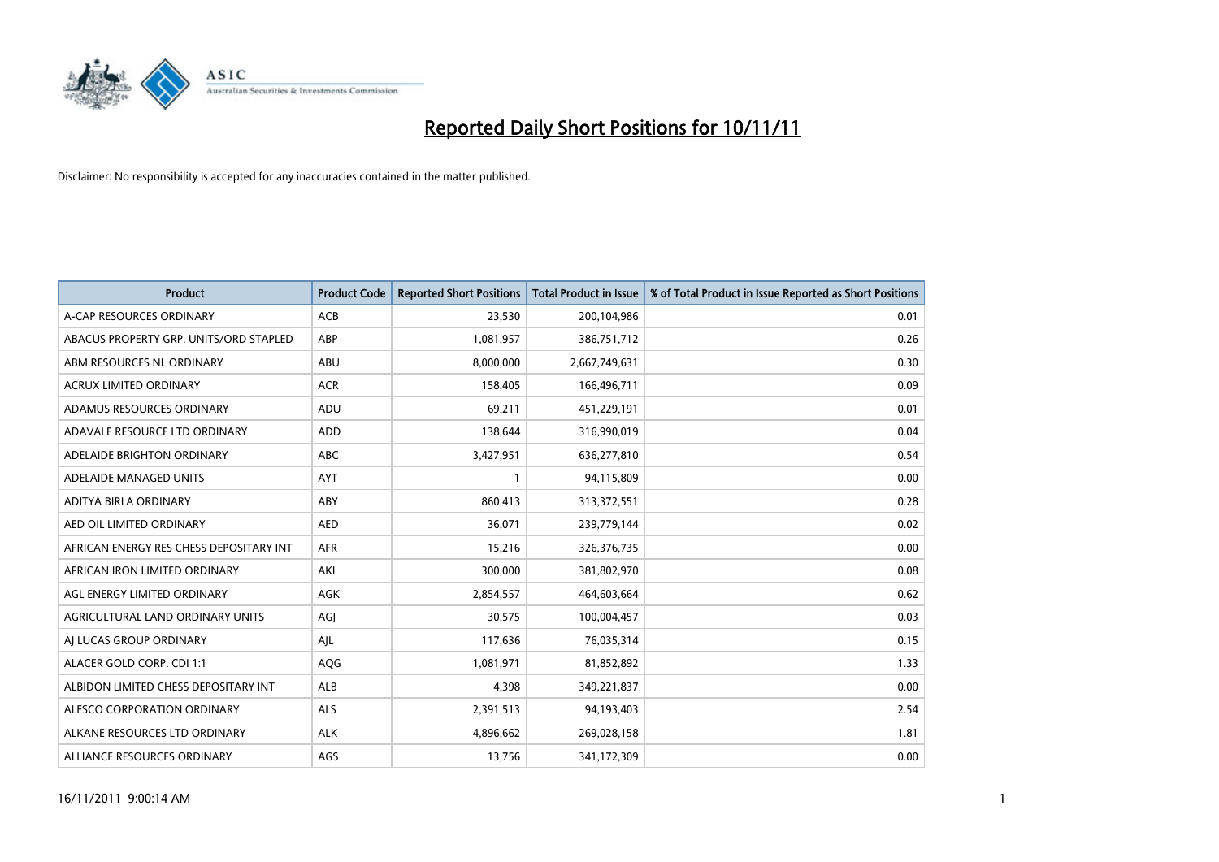

| <b>Product</b>                          | <b>Product Code</b> | <b>Reported Short Positions</b> | <b>Total Product in Issue</b> | % of Total Product in Issue Reported as Short Positions |
|-----------------------------------------|---------------------|---------------------------------|-------------------------------|---------------------------------------------------------|
| A-CAP RESOURCES ORDINARY                | <b>ACB</b>          | 23,530                          | 200,104,986                   | 0.01                                                    |
| ABACUS PROPERTY GRP. UNITS/ORD STAPLED  | ABP                 | 1,081,957                       | 386,751,712                   | 0.26                                                    |
| ABM RESOURCES NL ORDINARY               | <b>ABU</b>          | 8,000,000                       | 2,667,749,631                 | 0.30                                                    |
| ACRUX LIMITED ORDINARY                  | <b>ACR</b>          | 158,405                         | 166,496,711                   | 0.09                                                    |
| ADAMUS RESOURCES ORDINARY               | ADU                 | 69,211                          | 451,229,191                   | 0.01                                                    |
| ADAVALE RESOURCE LTD ORDINARY           | ADD                 | 138,644                         | 316,990,019                   | 0.04                                                    |
| ADELAIDE BRIGHTON ORDINARY              | <b>ABC</b>          | 3,427,951                       | 636,277,810                   | 0.54                                                    |
| ADELAIDE MANAGED UNITS                  | <b>AYT</b>          |                                 | 94,115,809                    | 0.00                                                    |
| ADITYA BIRLA ORDINARY                   | ABY                 | 860,413                         | 313,372,551                   | 0.28                                                    |
| AED OIL LIMITED ORDINARY                | <b>AED</b>          | 36,071                          | 239,779,144                   | 0.02                                                    |
| AFRICAN ENERGY RES CHESS DEPOSITARY INT | <b>AFR</b>          | 15,216                          | 326,376,735                   | 0.00                                                    |
| AFRICAN IRON LIMITED ORDINARY           | AKI                 | 300,000                         | 381,802,970                   | 0.08                                                    |
| AGL ENERGY LIMITED ORDINARY             | <b>AGK</b>          | 2,854,557                       | 464,603,664                   | 0.62                                                    |
| AGRICULTURAL LAND ORDINARY UNITS        | AGI                 | 30,575                          | 100,004,457                   | 0.03                                                    |
| AI LUCAS GROUP ORDINARY                 | AJL                 | 117,636                         | 76,035,314                    | 0.15                                                    |
| ALACER GOLD CORP. CDI 1:1               | <b>AQG</b>          | 1,081,971                       | 81,852,892                    | 1.33                                                    |
| ALBIDON LIMITED CHESS DEPOSITARY INT    | <b>ALB</b>          | 4,398                           | 349,221,837                   | 0.00                                                    |
| ALESCO CORPORATION ORDINARY             | <b>ALS</b>          | 2,391,513                       | 94,193,403                    | 2.54                                                    |
| ALKANE RESOURCES LTD ORDINARY           | <b>ALK</b>          | 4,896,662                       | 269,028,158                   | 1.81                                                    |
| ALLIANCE RESOURCES ORDINARY             | AGS                 | 13,756                          | 341,172,309                   | 0.00                                                    |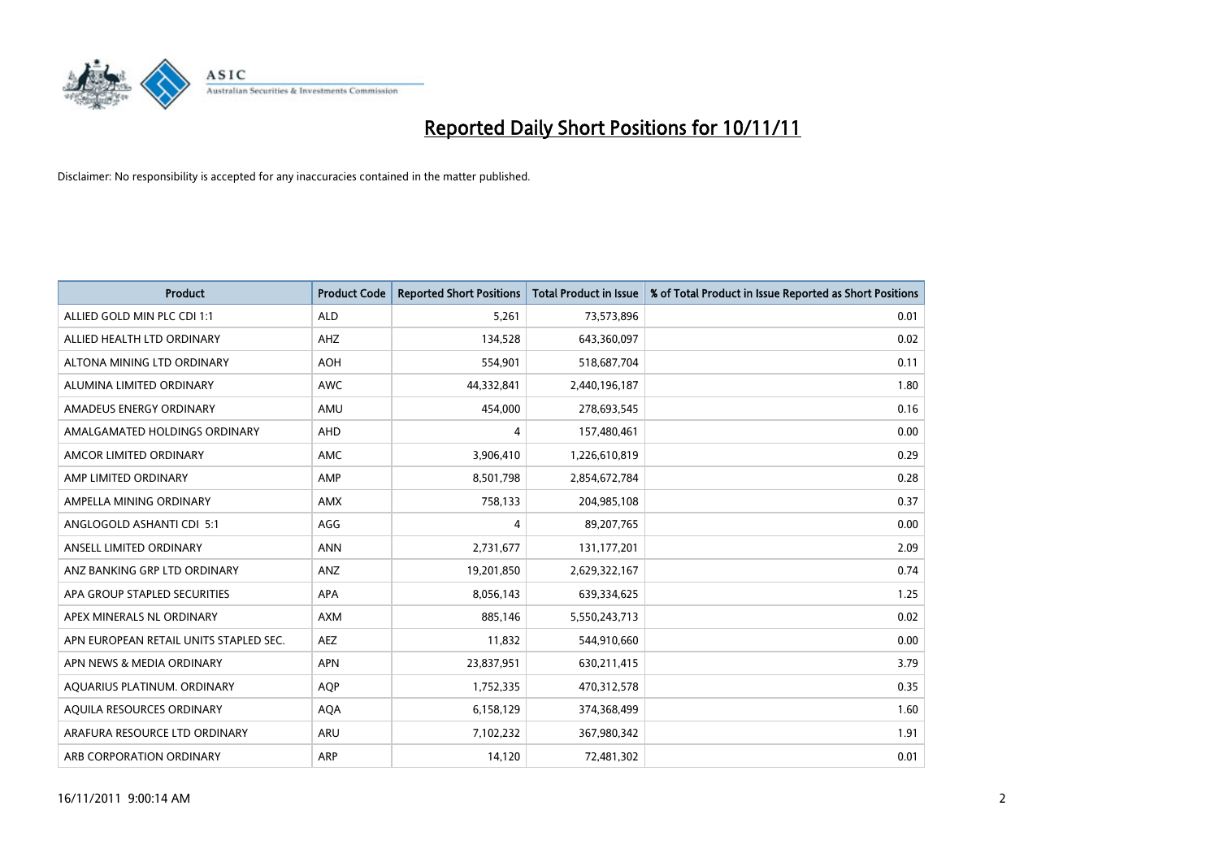

| <b>Product</b>                         | <b>Product Code</b> | <b>Reported Short Positions</b> | <b>Total Product in Issue</b> | % of Total Product in Issue Reported as Short Positions |
|----------------------------------------|---------------------|---------------------------------|-------------------------------|---------------------------------------------------------|
| ALLIED GOLD MIN PLC CDI 1:1            | <b>ALD</b>          | 5,261                           | 73,573,896                    | 0.01                                                    |
| ALLIED HEALTH LTD ORDINARY             | AHZ                 | 134,528                         | 643,360,097                   | 0.02                                                    |
| ALTONA MINING LTD ORDINARY             | <b>AOH</b>          | 554,901                         | 518,687,704                   | 0.11                                                    |
| ALUMINA LIMITED ORDINARY               | <b>AWC</b>          | 44,332,841                      | 2,440,196,187                 | 1.80                                                    |
| AMADEUS ENERGY ORDINARY                | AMU                 | 454,000                         | 278,693,545                   | 0.16                                                    |
| AMALGAMATED HOLDINGS ORDINARY          | <b>AHD</b>          | 4                               | 157,480,461                   | 0.00                                                    |
| AMCOR LIMITED ORDINARY                 | AMC                 | 3,906,410                       | 1,226,610,819                 | 0.29                                                    |
| AMP LIMITED ORDINARY                   | AMP                 | 8,501,798                       | 2,854,672,784                 | 0.28                                                    |
| AMPELLA MINING ORDINARY                | <b>AMX</b>          | 758,133                         | 204,985,108                   | 0.37                                                    |
| ANGLOGOLD ASHANTI CDI 5:1              | AGG                 | 4                               | 89,207,765                    | 0.00                                                    |
| ANSELL LIMITED ORDINARY                | <b>ANN</b>          | 2,731,677                       | 131, 177, 201                 | 2.09                                                    |
| ANZ BANKING GRP LTD ORDINARY           | ANZ                 | 19,201,850                      | 2,629,322,167                 | 0.74                                                    |
| APA GROUP STAPLED SECURITIES           | <b>APA</b>          | 8,056,143                       | 639,334,625                   | 1.25                                                    |
| APEX MINERALS NL ORDINARY              | <b>AXM</b>          | 885,146                         | 5,550,243,713                 | 0.02                                                    |
| APN EUROPEAN RETAIL UNITS STAPLED SEC. | <b>AEZ</b>          | 11,832                          | 544,910,660                   | 0.00                                                    |
| APN NEWS & MEDIA ORDINARY              | <b>APN</b>          | 23,837,951                      | 630,211,415                   | 3.79                                                    |
| AQUARIUS PLATINUM. ORDINARY            | <b>AOP</b>          | 1,752,335                       | 470,312,578                   | 0.35                                                    |
| AQUILA RESOURCES ORDINARY              | <b>AQA</b>          | 6,158,129                       | 374,368,499                   | 1.60                                                    |
| ARAFURA RESOURCE LTD ORDINARY          | ARU                 | 7,102,232                       | 367,980,342                   | 1.91                                                    |
| ARB CORPORATION ORDINARY               | ARP                 | 14,120                          | 72,481,302                    | 0.01                                                    |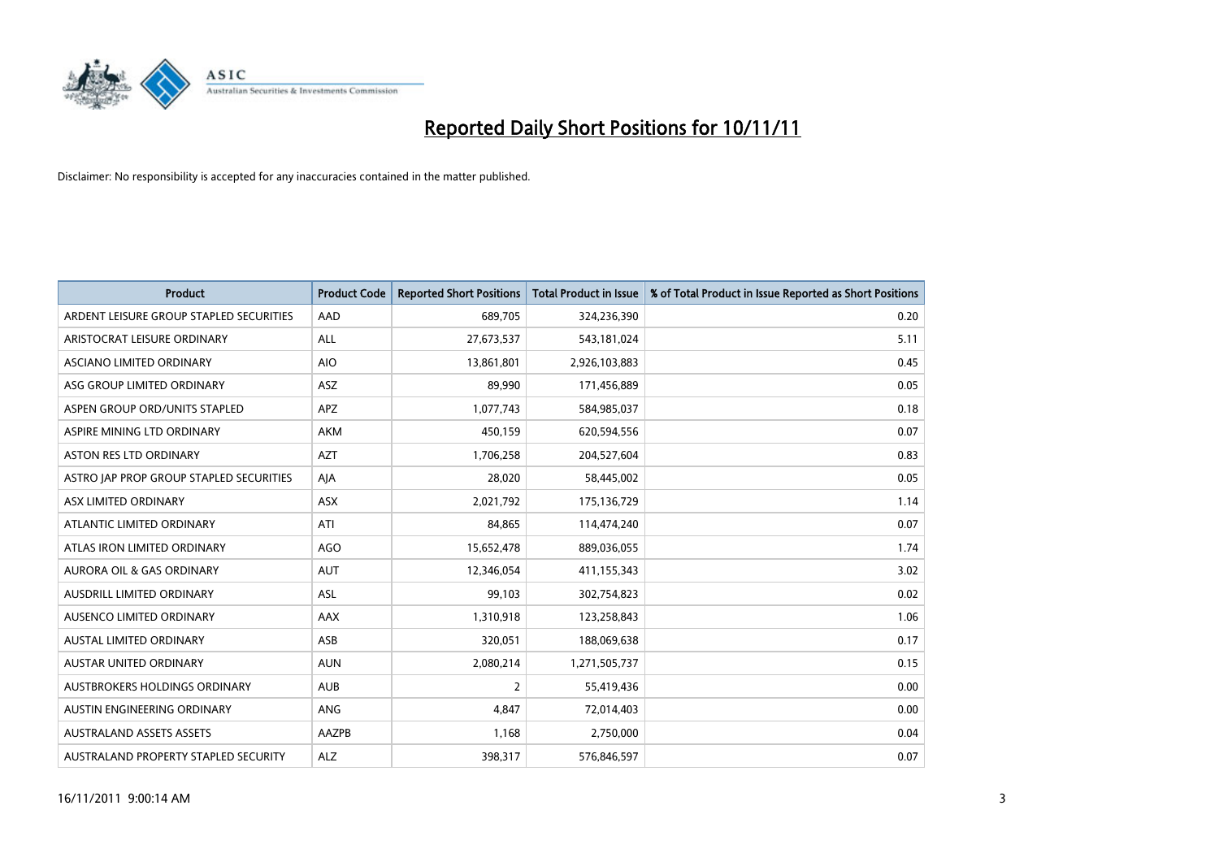

| <b>Product</b>                          | <b>Product Code</b> | <b>Reported Short Positions</b> | <b>Total Product in Issue</b> | % of Total Product in Issue Reported as Short Positions |
|-----------------------------------------|---------------------|---------------------------------|-------------------------------|---------------------------------------------------------|
| ARDENT LEISURE GROUP STAPLED SECURITIES | AAD                 | 689,705                         | 324,236,390                   | 0.20                                                    |
| ARISTOCRAT LEISURE ORDINARY             | <b>ALL</b>          | 27,673,537                      | 543,181,024                   | 5.11                                                    |
| ASCIANO LIMITED ORDINARY                | <b>AIO</b>          | 13,861,801                      | 2,926,103,883                 | 0.45                                                    |
| ASG GROUP LIMITED ORDINARY              | ASZ                 | 89,990                          | 171,456,889                   | 0.05                                                    |
| ASPEN GROUP ORD/UNITS STAPLED           | <b>APZ</b>          | 1,077,743                       | 584,985,037                   | 0.18                                                    |
| ASPIRE MINING LTD ORDINARY              | <b>AKM</b>          | 450,159                         | 620,594,556                   | 0.07                                                    |
| ASTON RES LTD ORDINARY                  | <b>AZT</b>          | 1,706,258                       | 204,527,604                   | 0.83                                                    |
| ASTRO JAP PROP GROUP STAPLED SECURITIES | AJA                 | 28,020                          | 58,445,002                    | 0.05                                                    |
| ASX LIMITED ORDINARY                    | <b>ASX</b>          | 2,021,792                       | 175,136,729                   | 1.14                                                    |
| ATLANTIC LIMITED ORDINARY               | ATI                 | 84,865                          | 114,474,240                   | 0.07                                                    |
| ATLAS IRON LIMITED ORDINARY             | <b>AGO</b>          | 15,652,478                      | 889,036,055                   | 1.74                                                    |
| <b>AURORA OIL &amp; GAS ORDINARY</b>    | <b>AUT</b>          | 12,346,054                      | 411,155,343                   | 3.02                                                    |
| AUSDRILL LIMITED ORDINARY               | ASL                 | 99,103                          | 302,754,823                   | 0.02                                                    |
| AUSENCO LIMITED ORDINARY                | AAX                 | 1,310,918                       | 123,258,843                   | 1.06                                                    |
| <b>AUSTAL LIMITED ORDINARY</b>          | ASB                 | 320,051                         | 188,069,638                   | 0.17                                                    |
| AUSTAR UNITED ORDINARY                  | <b>AUN</b>          | 2,080,214                       | 1,271,505,737                 | 0.15                                                    |
| AUSTBROKERS HOLDINGS ORDINARY           | <b>AUB</b>          | $\overline{2}$                  | 55,419,436                    | 0.00                                                    |
| AUSTIN ENGINEERING ORDINARY             | <b>ANG</b>          | 4,847                           | 72,014,403                    | 0.00                                                    |
| <b>AUSTRALAND ASSETS ASSETS</b>         | AAZPB               | 1,168                           | 2,750,000                     | 0.04                                                    |
| AUSTRALAND PROPERTY STAPLED SECURITY    | <b>ALZ</b>          | 398,317                         | 576,846,597                   | 0.07                                                    |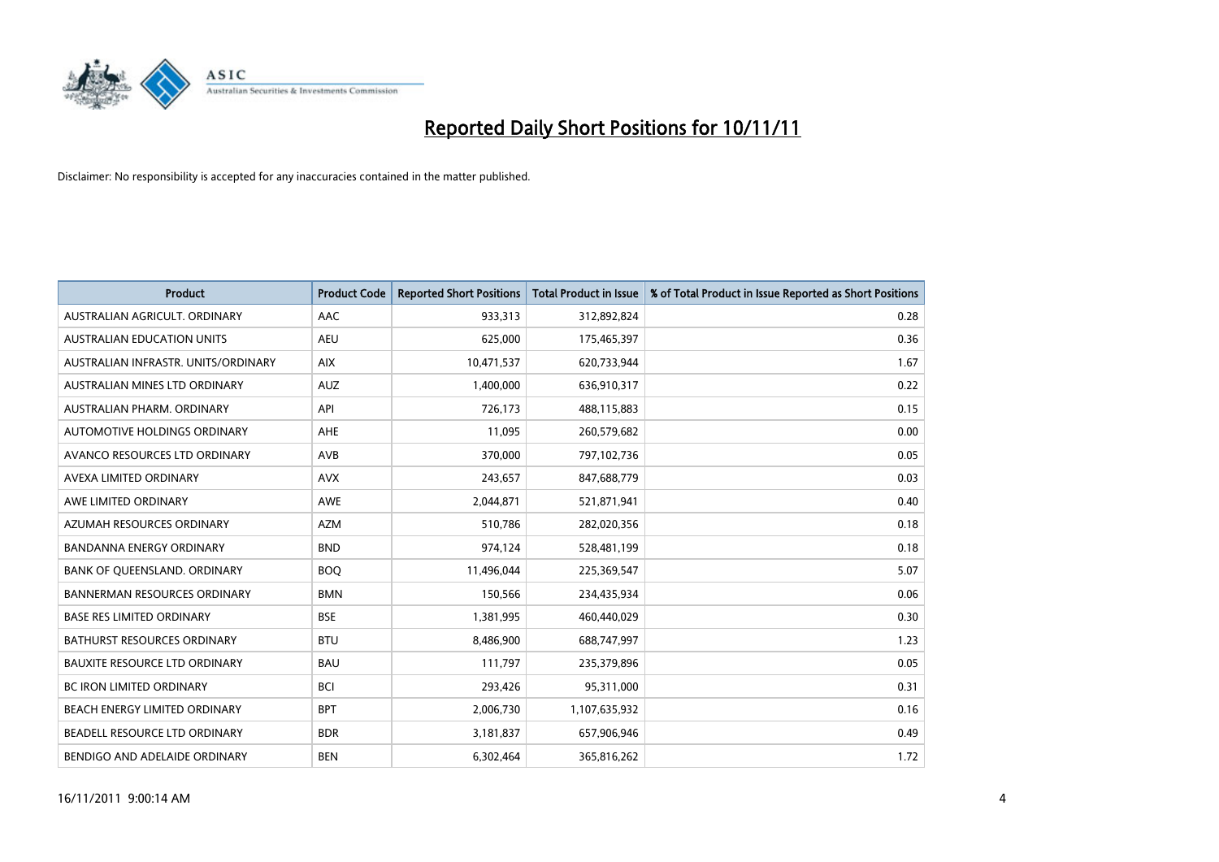

| <b>Product</b>                       | <b>Product Code</b> | <b>Reported Short Positions</b> | <b>Total Product in Issue</b> | % of Total Product in Issue Reported as Short Positions |
|--------------------------------------|---------------------|---------------------------------|-------------------------------|---------------------------------------------------------|
| AUSTRALIAN AGRICULT, ORDINARY        | AAC                 | 933,313                         | 312,892,824                   | 0.28                                                    |
| <b>AUSTRALIAN EDUCATION UNITS</b>    | <b>AEU</b>          | 625,000                         | 175,465,397                   | 0.36                                                    |
| AUSTRALIAN INFRASTR, UNITS/ORDINARY  | <b>AIX</b>          | 10,471,537                      | 620,733,944                   | 1.67                                                    |
| AUSTRALIAN MINES LTD ORDINARY        | <b>AUZ</b>          | 1,400,000                       | 636,910,317                   | 0.22                                                    |
| AUSTRALIAN PHARM, ORDINARY           | API                 | 726,173                         | 488,115,883                   | 0.15                                                    |
| AUTOMOTIVE HOLDINGS ORDINARY         | <b>AHE</b>          | 11,095                          | 260,579,682                   | 0.00                                                    |
| AVANCO RESOURCES LTD ORDINARY        | AVB                 | 370,000                         | 797,102,736                   | 0.05                                                    |
| AVEXA LIMITED ORDINARY               | <b>AVX</b>          | 243,657                         | 847,688,779                   | 0.03                                                    |
| AWE LIMITED ORDINARY                 | <b>AWE</b>          | 2,044,871                       | 521,871,941                   | 0.40                                                    |
| AZUMAH RESOURCES ORDINARY            | <b>AZM</b>          | 510,786                         | 282,020,356                   | 0.18                                                    |
| <b>BANDANNA ENERGY ORDINARY</b>      | <b>BND</b>          | 974,124                         | 528,481,199                   | 0.18                                                    |
| BANK OF QUEENSLAND. ORDINARY         | <b>BOQ</b>          | 11,496,044                      | 225,369,547                   | 5.07                                                    |
| <b>BANNERMAN RESOURCES ORDINARY</b>  | <b>BMN</b>          | 150,566                         | 234,435,934                   | 0.06                                                    |
| <b>BASE RES LIMITED ORDINARY</b>     | <b>BSE</b>          | 1,381,995                       | 460,440,029                   | 0.30                                                    |
| <b>BATHURST RESOURCES ORDINARY</b>   | <b>BTU</b>          | 8,486,900                       | 688,747,997                   | 1.23                                                    |
| <b>BAUXITE RESOURCE LTD ORDINARY</b> | <b>BAU</b>          | 111,797                         | 235,379,896                   | 0.05                                                    |
| BC IRON LIMITED ORDINARY             | <b>BCI</b>          | 293,426                         | 95,311,000                    | 0.31                                                    |
| BEACH ENERGY LIMITED ORDINARY        | <b>BPT</b>          | 2,006,730                       | 1,107,635,932                 | 0.16                                                    |
| BEADELL RESOURCE LTD ORDINARY        | <b>BDR</b>          | 3,181,837                       | 657,906,946                   | 0.49                                                    |
| BENDIGO AND ADELAIDE ORDINARY        | <b>BEN</b>          | 6,302,464                       | 365,816,262                   | 1.72                                                    |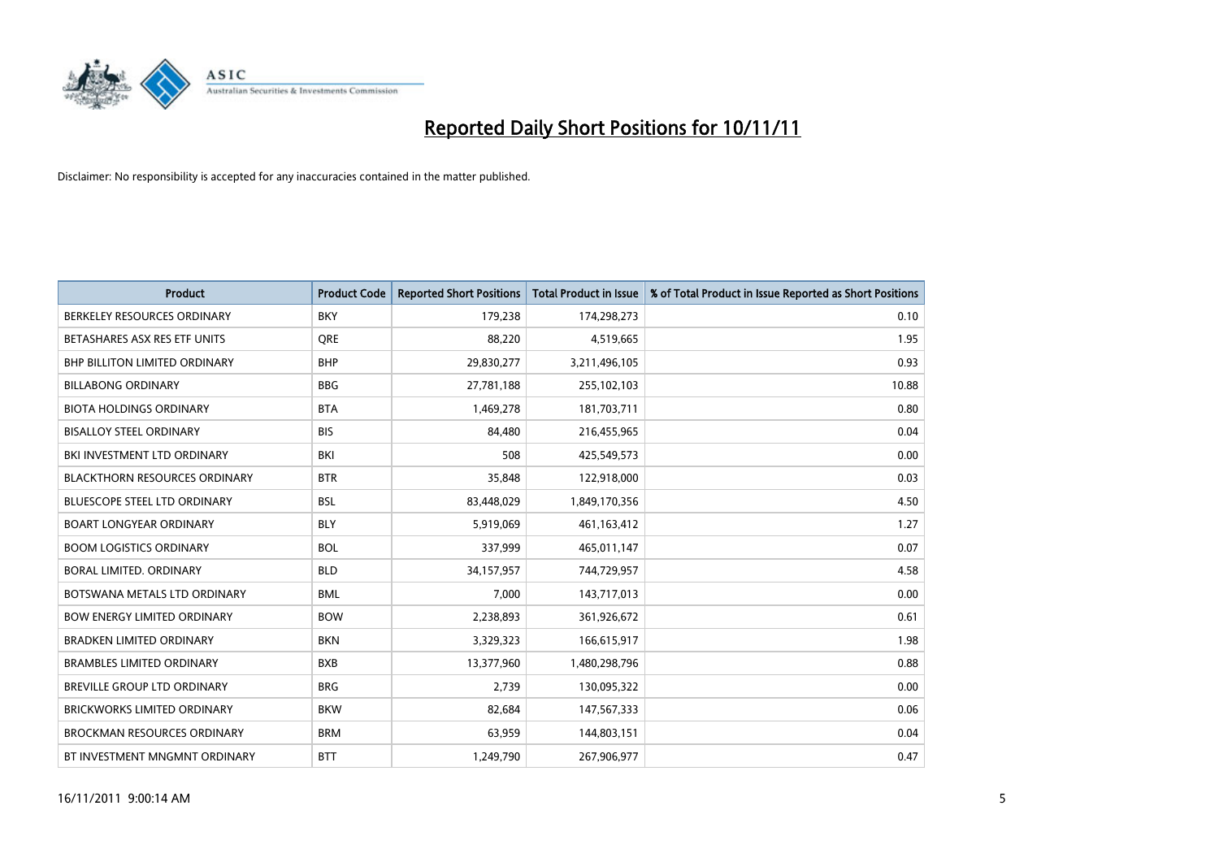

| <b>Product</b>                       | <b>Product Code</b> | <b>Reported Short Positions</b> | <b>Total Product in Issue</b> | % of Total Product in Issue Reported as Short Positions |
|--------------------------------------|---------------------|---------------------------------|-------------------------------|---------------------------------------------------------|
| BERKELEY RESOURCES ORDINARY          | <b>BKY</b>          | 179,238                         | 174,298,273                   | 0.10                                                    |
| BETASHARES ASX RES ETF UNITS         | <b>ORE</b>          | 88,220                          | 4,519,665                     | 1.95                                                    |
| <b>BHP BILLITON LIMITED ORDINARY</b> | <b>BHP</b>          | 29,830,277                      | 3,211,496,105                 | 0.93                                                    |
| <b>BILLABONG ORDINARY</b>            | <b>BBG</b>          | 27,781,188                      | 255,102,103                   | 10.88                                                   |
| <b>BIOTA HOLDINGS ORDINARY</b>       | <b>BTA</b>          | 1,469,278                       | 181,703,711                   | 0.80                                                    |
| <b>BISALLOY STEEL ORDINARY</b>       | <b>BIS</b>          | 84,480                          | 216,455,965                   | 0.04                                                    |
| BKI INVESTMENT LTD ORDINARY          | BKI                 | 508                             | 425,549,573                   | 0.00                                                    |
| <b>BLACKTHORN RESOURCES ORDINARY</b> | <b>BTR</b>          | 35,848                          | 122,918,000                   | 0.03                                                    |
| BLUESCOPE STEEL LTD ORDINARY         | <b>BSL</b>          | 83,448,029                      | 1,849,170,356                 | 4.50                                                    |
| <b>BOART LONGYEAR ORDINARY</b>       | <b>BLY</b>          | 5,919,069                       | 461,163,412                   | 1.27                                                    |
| <b>BOOM LOGISTICS ORDINARY</b>       | <b>BOL</b>          | 337,999                         | 465,011,147                   | 0.07                                                    |
| BORAL LIMITED, ORDINARY              | <b>BLD</b>          | 34,157,957                      | 744,729,957                   | 4.58                                                    |
| BOTSWANA METALS LTD ORDINARY         | <b>BML</b>          | 7,000                           | 143,717,013                   | 0.00                                                    |
| <b>BOW ENERGY LIMITED ORDINARY</b>   | <b>BOW</b>          | 2,238,893                       | 361,926,672                   | 0.61                                                    |
| <b>BRADKEN LIMITED ORDINARY</b>      | <b>BKN</b>          | 3,329,323                       | 166,615,917                   | 1.98                                                    |
| <b>BRAMBLES LIMITED ORDINARY</b>     | <b>BXB</b>          | 13,377,960                      | 1,480,298,796                 | 0.88                                                    |
| <b>BREVILLE GROUP LTD ORDINARY</b>   | <b>BRG</b>          | 2,739                           | 130,095,322                   | 0.00                                                    |
| <b>BRICKWORKS LIMITED ORDINARY</b>   | <b>BKW</b>          | 82,684                          | 147,567,333                   | 0.06                                                    |
| <b>BROCKMAN RESOURCES ORDINARY</b>   | <b>BRM</b>          | 63,959                          | 144,803,151                   | 0.04                                                    |
| BT INVESTMENT MNGMNT ORDINARY        | <b>BTT</b>          | 1,249,790                       | 267,906,977                   | 0.47                                                    |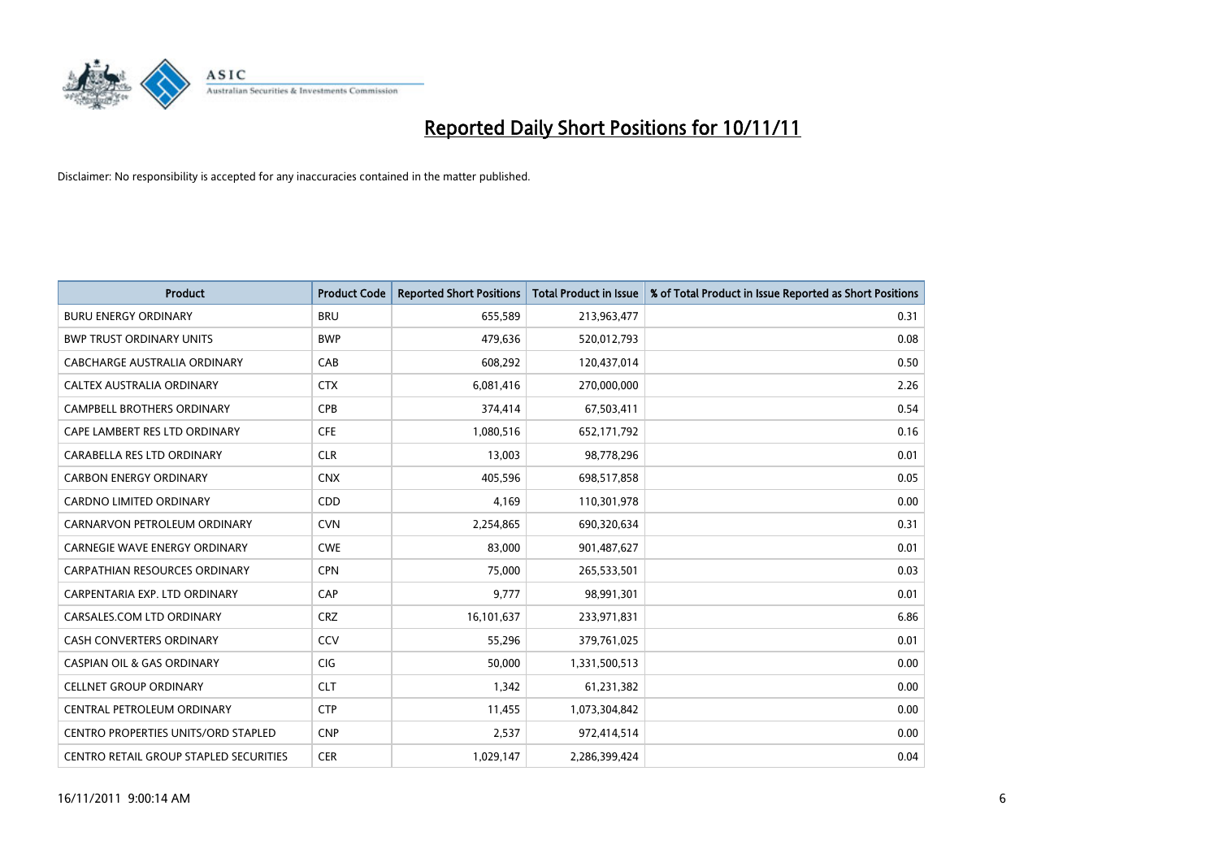

| <b>Product</b>                                | <b>Product Code</b> | <b>Reported Short Positions</b> | <b>Total Product in Issue</b> | % of Total Product in Issue Reported as Short Positions |
|-----------------------------------------------|---------------------|---------------------------------|-------------------------------|---------------------------------------------------------|
| <b>BURU ENERGY ORDINARY</b>                   | <b>BRU</b>          | 655,589                         | 213,963,477                   | 0.31                                                    |
| <b>BWP TRUST ORDINARY UNITS</b>               | <b>BWP</b>          | 479.636                         | 520,012,793                   | 0.08                                                    |
| CABCHARGE AUSTRALIA ORDINARY                  | CAB                 | 608,292                         | 120,437,014                   | 0.50                                                    |
| CALTEX AUSTRALIA ORDINARY                     | <b>CTX</b>          | 6,081,416                       | 270,000,000                   | 2.26                                                    |
| <b>CAMPBELL BROTHERS ORDINARY</b>             | <b>CPB</b>          | 374,414                         | 67,503,411                    | 0.54                                                    |
| CAPE LAMBERT RES LTD ORDINARY                 | <b>CFE</b>          | 1,080,516                       | 652,171,792                   | 0.16                                                    |
| CARABELLA RES LTD ORDINARY                    | <b>CLR</b>          | 13,003                          | 98,778,296                    | 0.01                                                    |
| <b>CARBON ENERGY ORDINARY</b>                 | <b>CNX</b>          | 405,596                         | 698,517,858                   | 0.05                                                    |
| <b>CARDNO LIMITED ORDINARY</b>                | <b>CDD</b>          | 4,169                           | 110,301,978                   | 0.00                                                    |
| CARNARVON PETROLEUM ORDINARY                  | <b>CVN</b>          | 2,254,865                       | 690,320,634                   | 0.31                                                    |
| <b>CARNEGIE WAVE ENERGY ORDINARY</b>          | <b>CWE</b>          | 83,000                          | 901,487,627                   | 0.01                                                    |
| <b>CARPATHIAN RESOURCES ORDINARY</b>          | <b>CPN</b>          | 75,000                          | 265,533,501                   | 0.03                                                    |
| CARPENTARIA EXP. LTD ORDINARY                 | CAP                 | 9,777                           | 98,991,301                    | 0.01                                                    |
| CARSALES.COM LTD ORDINARY                     | <b>CRZ</b>          | 16,101,637                      | 233,971,831                   | 6.86                                                    |
| CASH CONVERTERS ORDINARY                      | CCV                 | 55,296                          | 379,761,025                   | 0.01                                                    |
| <b>CASPIAN OIL &amp; GAS ORDINARY</b>         | CIG                 | 50,000                          | 1,331,500,513                 | 0.00                                                    |
| <b>CELLNET GROUP ORDINARY</b>                 | <b>CLT</b>          | 1,342                           | 61,231,382                    | 0.00                                                    |
| CENTRAL PETROLEUM ORDINARY                    | <b>CTP</b>          | 11,455                          | 1,073,304,842                 | 0.00                                                    |
| <b>CENTRO PROPERTIES UNITS/ORD STAPLED</b>    | <b>CNP</b>          | 2,537                           | 972,414,514                   | 0.00                                                    |
| <b>CENTRO RETAIL GROUP STAPLED SECURITIES</b> | <b>CER</b>          | 1,029,147                       | 2,286,399,424                 | 0.04                                                    |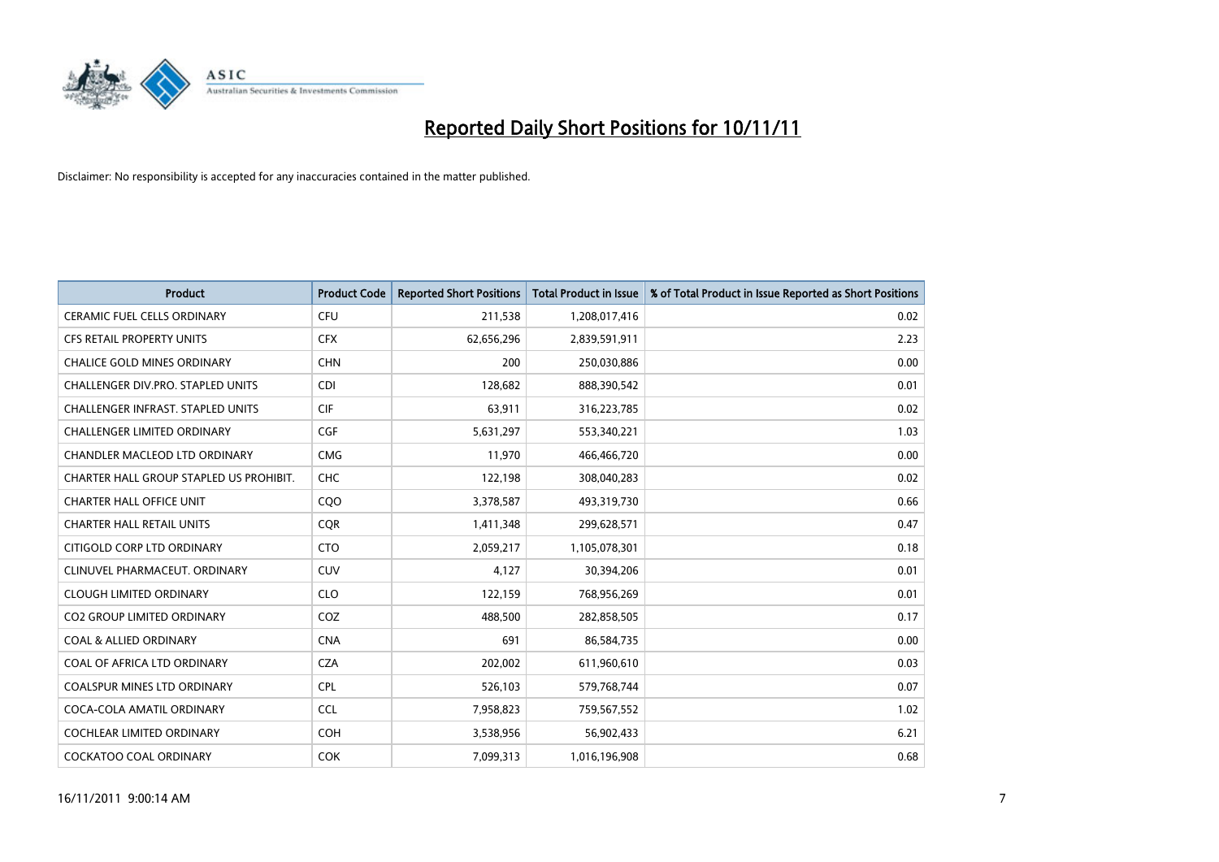

| <b>Product</b>                           | <b>Product Code</b> | <b>Reported Short Positions</b> | <b>Total Product in Issue</b> | % of Total Product in Issue Reported as Short Positions |
|------------------------------------------|---------------------|---------------------------------|-------------------------------|---------------------------------------------------------|
| <b>CERAMIC FUEL CELLS ORDINARY</b>       | <b>CFU</b>          | 211,538                         | 1,208,017,416                 | 0.02                                                    |
| <b>CFS RETAIL PROPERTY UNITS</b>         | <b>CFX</b>          | 62,656,296                      | 2,839,591,911                 | 2.23                                                    |
| <b>CHALICE GOLD MINES ORDINARY</b>       | <b>CHN</b>          | 200                             | 250,030,886                   | 0.00                                                    |
| CHALLENGER DIV.PRO. STAPLED UNITS        | <b>CDI</b>          | 128,682                         | 888,390,542                   | 0.01                                                    |
| <b>CHALLENGER INFRAST, STAPLED UNITS</b> | <b>CIF</b>          | 63,911                          | 316,223,785                   | 0.02                                                    |
| <b>CHALLENGER LIMITED ORDINARY</b>       | <b>CGF</b>          | 5,631,297                       | 553,340,221                   | 1.03                                                    |
| <b>CHANDLER MACLEOD LTD ORDINARY</b>     | <b>CMG</b>          | 11,970                          | 466,466,720                   | 0.00                                                    |
| CHARTER HALL GROUP STAPLED US PROHIBIT.  | CHC                 | 122,198                         | 308,040,283                   | 0.02                                                    |
| <b>CHARTER HALL OFFICE UNIT</b>          | CQ <sub>O</sub>     | 3,378,587                       | 493,319,730                   | 0.66                                                    |
| <b>CHARTER HALL RETAIL UNITS</b>         | <b>COR</b>          | 1,411,348                       | 299,628,571                   | 0.47                                                    |
| CITIGOLD CORP LTD ORDINARY               | <b>CTO</b>          | 2,059,217                       | 1,105,078,301                 | 0.18                                                    |
| CLINUVEL PHARMACEUT, ORDINARY            | <b>CUV</b>          | 4,127                           | 30,394,206                    | 0.01                                                    |
| <b>CLOUGH LIMITED ORDINARY</b>           | <b>CLO</b>          | 122,159                         | 768,956,269                   | 0.01                                                    |
| <b>CO2 GROUP LIMITED ORDINARY</b>        | COZ                 | 488,500                         | 282,858,505                   | 0.17                                                    |
| <b>COAL &amp; ALLIED ORDINARY</b>        | <b>CNA</b>          | 691                             | 86,584,735                    | 0.00                                                    |
| COAL OF AFRICA LTD ORDINARY              | <b>CZA</b>          | 202,002                         | 611,960,610                   | 0.03                                                    |
| <b>COALSPUR MINES LTD ORDINARY</b>       | <b>CPL</b>          | 526,103                         | 579,768,744                   | 0.07                                                    |
| COCA-COLA AMATIL ORDINARY                | <b>CCL</b>          | 7,958,823                       | 759,567,552                   | 1.02                                                    |
| <b>COCHLEAR LIMITED ORDINARY</b>         | <b>COH</b>          | 3,538,956                       | 56,902,433                    | 6.21                                                    |
| <b>COCKATOO COAL ORDINARY</b>            | <b>COK</b>          | 7,099,313                       | 1,016,196,908                 | 0.68                                                    |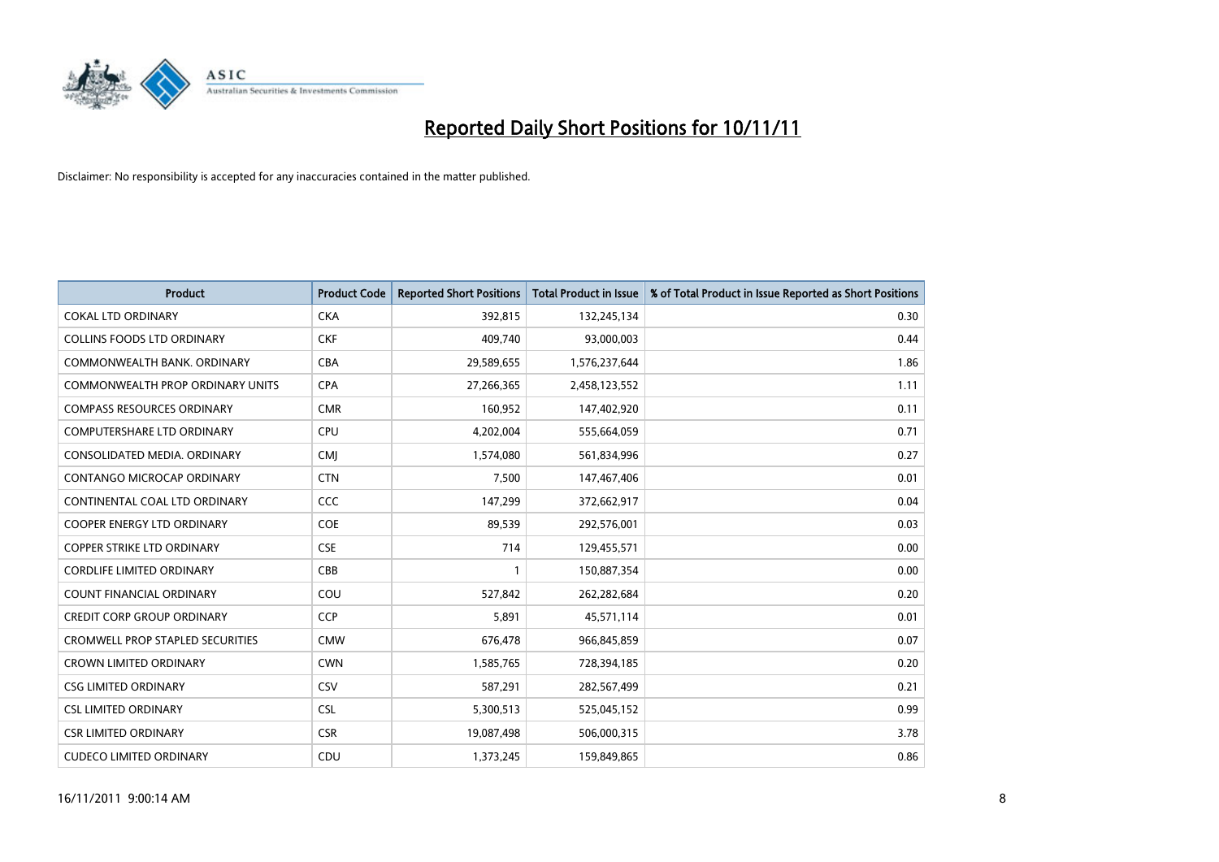

| <b>Product</b>                          | <b>Product Code</b> | <b>Reported Short Positions</b> | <b>Total Product in Issue</b> | % of Total Product in Issue Reported as Short Positions |
|-----------------------------------------|---------------------|---------------------------------|-------------------------------|---------------------------------------------------------|
| <b>COKAL LTD ORDINARY</b>               | <b>CKA</b>          | 392,815                         | 132,245,134                   | 0.30                                                    |
| <b>COLLINS FOODS LTD ORDINARY</b>       | <b>CKF</b>          | 409.740                         | 93,000,003                    | 0.44                                                    |
| COMMONWEALTH BANK, ORDINARY             | <b>CBA</b>          | 29,589,655                      | 1,576,237,644                 | 1.86                                                    |
| COMMONWEALTH PROP ORDINARY UNITS        | <b>CPA</b>          | 27,266,365                      | 2,458,123,552                 | 1.11                                                    |
| <b>COMPASS RESOURCES ORDINARY</b>       | <b>CMR</b>          | 160,952                         | 147,402,920                   | 0.11                                                    |
| <b>COMPUTERSHARE LTD ORDINARY</b>       | <b>CPU</b>          | 4,202,004                       | 555,664,059                   | 0.71                                                    |
| CONSOLIDATED MEDIA, ORDINARY            | <b>CMI</b>          | 1,574,080                       | 561,834,996                   | 0.27                                                    |
| CONTANGO MICROCAP ORDINARY              | <b>CTN</b>          | 7,500                           | 147,467,406                   | 0.01                                                    |
| CONTINENTAL COAL LTD ORDINARY           | CCC                 | 147,299                         | 372,662,917                   | 0.04                                                    |
| <b>COOPER ENERGY LTD ORDINARY</b>       | <b>COE</b>          | 89,539                          | 292,576,001                   | 0.03                                                    |
| <b>COPPER STRIKE LTD ORDINARY</b>       | <b>CSE</b>          | 714                             | 129,455,571                   | 0.00                                                    |
| <b>CORDLIFE LIMITED ORDINARY</b>        | CBB                 |                                 | 150,887,354                   | 0.00                                                    |
| <b>COUNT FINANCIAL ORDINARY</b>         | COU                 | 527,842                         | 262,282,684                   | 0.20                                                    |
| <b>CREDIT CORP GROUP ORDINARY</b>       | <b>CCP</b>          | 5,891                           | 45,571,114                    | 0.01                                                    |
| <b>CROMWELL PROP STAPLED SECURITIES</b> | <b>CMW</b>          | 676,478                         | 966,845,859                   | 0.07                                                    |
| <b>CROWN LIMITED ORDINARY</b>           | <b>CWN</b>          | 1,585,765                       | 728,394,185                   | 0.20                                                    |
| <b>CSG LIMITED ORDINARY</b>             | CSV                 | 587,291                         | 282,567,499                   | 0.21                                                    |
| <b>CSL LIMITED ORDINARY</b>             | <b>CSL</b>          | 5,300,513                       | 525,045,152                   | 0.99                                                    |
| <b>CSR LIMITED ORDINARY</b>             | <b>CSR</b>          | 19,087,498                      | 506,000,315                   | 3.78                                                    |
| <b>CUDECO LIMITED ORDINARY</b>          | CDU                 | 1,373,245                       | 159,849,865                   | 0.86                                                    |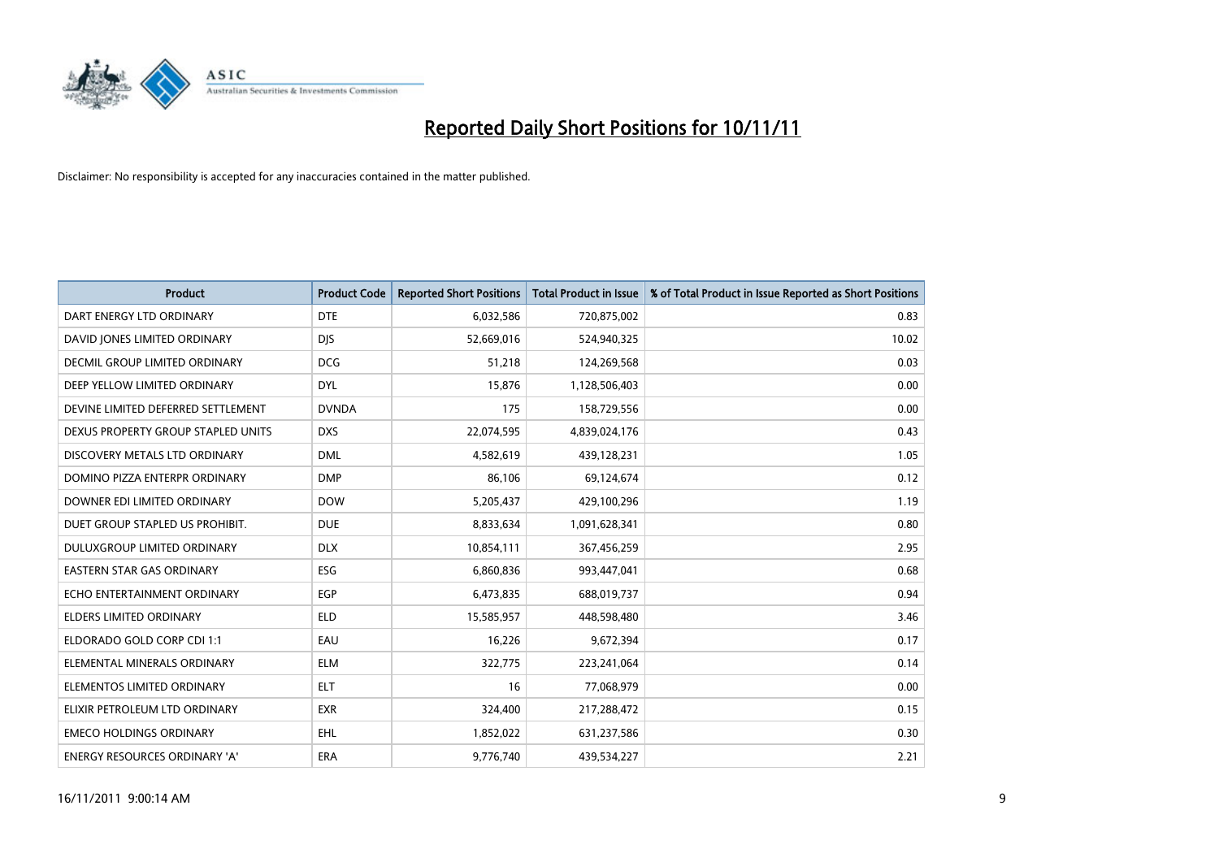

| <b>Product</b>                       | <b>Product Code</b> | <b>Reported Short Positions</b> | <b>Total Product in Issue</b> | % of Total Product in Issue Reported as Short Positions |
|--------------------------------------|---------------------|---------------------------------|-------------------------------|---------------------------------------------------------|
| DART ENERGY LTD ORDINARY             | <b>DTE</b>          | 6,032,586                       | 720,875,002                   | 0.83                                                    |
| DAVID JONES LIMITED ORDINARY         | <b>DIS</b>          | 52,669,016                      | 524,940,325                   | 10.02                                                   |
| <b>DECMIL GROUP LIMITED ORDINARY</b> | <b>DCG</b>          | 51,218                          | 124,269,568                   | 0.03                                                    |
| DEEP YELLOW LIMITED ORDINARY         | <b>DYL</b>          | 15,876                          | 1,128,506,403                 | 0.00                                                    |
| DEVINE LIMITED DEFERRED SETTLEMENT   | <b>DVNDA</b>        | 175                             | 158,729,556                   | 0.00                                                    |
| DEXUS PROPERTY GROUP STAPLED UNITS   | <b>DXS</b>          | 22,074,595                      | 4,839,024,176                 | 0.43                                                    |
| DISCOVERY METALS LTD ORDINARY        | <b>DML</b>          | 4,582,619                       | 439,128,231                   | 1.05                                                    |
| DOMINO PIZZA ENTERPR ORDINARY        | <b>DMP</b>          | 86,106                          | 69,124,674                    | 0.12                                                    |
| DOWNER EDI LIMITED ORDINARY          | <b>DOW</b>          | 5,205,437                       | 429,100,296                   | 1.19                                                    |
| DUET GROUP STAPLED US PROHIBIT.      | <b>DUE</b>          | 8,833,634                       | 1,091,628,341                 | 0.80                                                    |
| DULUXGROUP LIMITED ORDINARY          | <b>DLX</b>          | 10,854,111                      | 367,456,259                   | 2.95                                                    |
| <b>EASTERN STAR GAS ORDINARY</b>     | <b>ESG</b>          | 6,860,836                       | 993,447,041                   | 0.68                                                    |
| ECHO ENTERTAINMENT ORDINARY          | <b>EGP</b>          | 6,473,835                       | 688,019,737                   | 0.94                                                    |
| <b>ELDERS LIMITED ORDINARY</b>       | <b>ELD</b>          | 15,585,957                      | 448,598,480                   | 3.46                                                    |
| ELDORADO GOLD CORP CDI 1:1           | EAU                 | 16,226                          | 9,672,394                     | 0.17                                                    |
| ELEMENTAL MINERALS ORDINARY          | <b>ELM</b>          | 322,775                         | 223,241,064                   | 0.14                                                    |
| ELEMENTOS LIMITED ORDINARY           | <b>ELT</b>          | 16                              | 77,068,979                    | 0.00                                                    |
| ELIXIR PETROLEUM LTD ORDINARY        | <b>EXR</b>          | 324,400                         | 217,288,472                   | 0.15                                                    |
| <b>EMECO HOLDINGS ORDINARY</b>       | <b>EHL</b>          | 1,852,022                       | 631,237,586                   | 0.30                                                    |
| ENERGY RESOURCES ORDINARY 'A'        | ERA                 | 9,776,740                       | 439,534,227                   | 2.21                                                    |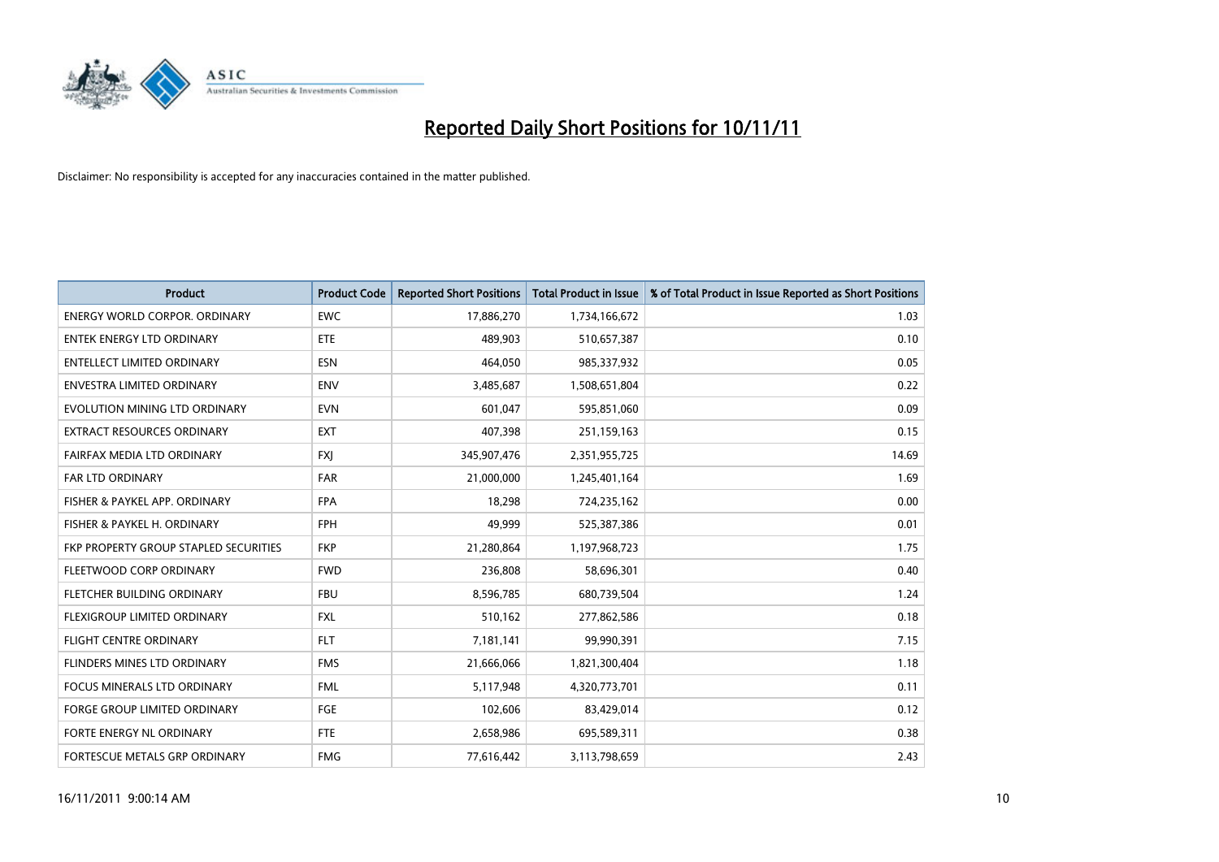

| <b>Product</b>                        | <b>Product Code</b> | <b>Reported Short Positions</b> | <b>Total Product in Issue</b> | % of Total Product in Issue Reported as Short Positions |
|---------------------------------------|---------------------|---------------------------------|-------------------------------|---------------------------------------------------------|
| <b>ENERGY WORLD CORPOR, ORDINARY</b>  | <b>EWC</b>          | 17,886,270                      | 1,734,166,672                 | 1.03                                                    |
| ENTEK ENERGY LTD ORDINARY             | <b>ETE</b>          | 489,903                         | 510,657,387                   | 0.10                                                    |
| <b>ENTELLECT LIMITED ORDINARY</b>     | <b>ESN</b>          | 464,050                         | 985,337,932                   | 0.05                                                    |
| ENVESTRA LIMITED ORDINARY             | <b>ENV</b>          | 3,485,687                       | 1,508,651,804                 | 0.22                                                    |
| EVOLUTION MINING LTD ORDINARY         | <b>EVN</b>          | 601,047                         | 595,851,060                   | 0.09                                                    |
| EXTRACT RESOURCES ORDINARY            | <b>EXT</b>          | 407,398                         | 251,159,163                   | 0.15                                                    |
| FAIRFAX MEDIA LTD ORDINARY            | <b>FXI</b>          | 345,907,476                     | 2,351,955,725                 | 14.69                                                   |
| <b>FAR LTD ORDINARY</b>               | FAR                 | 21,000,000                      | 1,245,401,164                 | 1.69                                                    |
| FISHER & PAYKEL APP. ORDINARY         | <b>FPA</b>          | 18,298                          | 724,235,162                   | 0.00                                                    |
| FISHER & PAYKEL H. ORDINARY           | <b>FPH</b>          | 49,999                          | 525,387,386                   | 0.01                                                    |
| FKP PROPERTY GROUP STAPLED SECURITIES | <b>FKP</b>          | 21,280,864                      | 1,197,968,723                 | 1.75                                                    |
| FLEETWOOD CORP ORDINARY               | <b>FWD</b>          | 236,808                         | 58,696,301                    | 0.40                                                    |
| <b>FLETCHER BUILDING ORDINARY</b>     | <b>FBU</b>          | 8,596,785                       | 680,739,504                   | 1.24                                                    |
| <b>FLEXIGROUP LIMITED ORDINARY</b>    | <b>FXL</b>          | 510,162                         | 277,862,586                   | 0.18                                                    |
| <b>FLIGHT CENTRE ORDINARY</b>         | <b>FLT</b>          | 7,181,141                       | 99,990,391                    | 7.15                                                    |
| FLINDERS MINES LTD ORDINARY           | <b>FMS</b>          | 21,666,066                      | 1,821,300,404                 | 1.18                                                    |
| <b>FOCUS MINERALS LTD ORDINARY</b>    | <b>FML</b>          | 5,117,948                       | 4,320,773,701                 | 0.11                                                    |
| FORGE GROUP LIMITED ORDINARY          | FGE                 | 102,606                         | 83,429,014                    | 0.12                                                    |
| FORTE ENERGY NL ORDINARY              | FTE                 | 2,658,986                       | 695,589,311                   | 0.38                                                    |
| FORTESCUE METALS GRP ORDINARY         | <b>FMG</b>          | 77,616,442                      | 3,113,798,659                 | 2.43                                                    |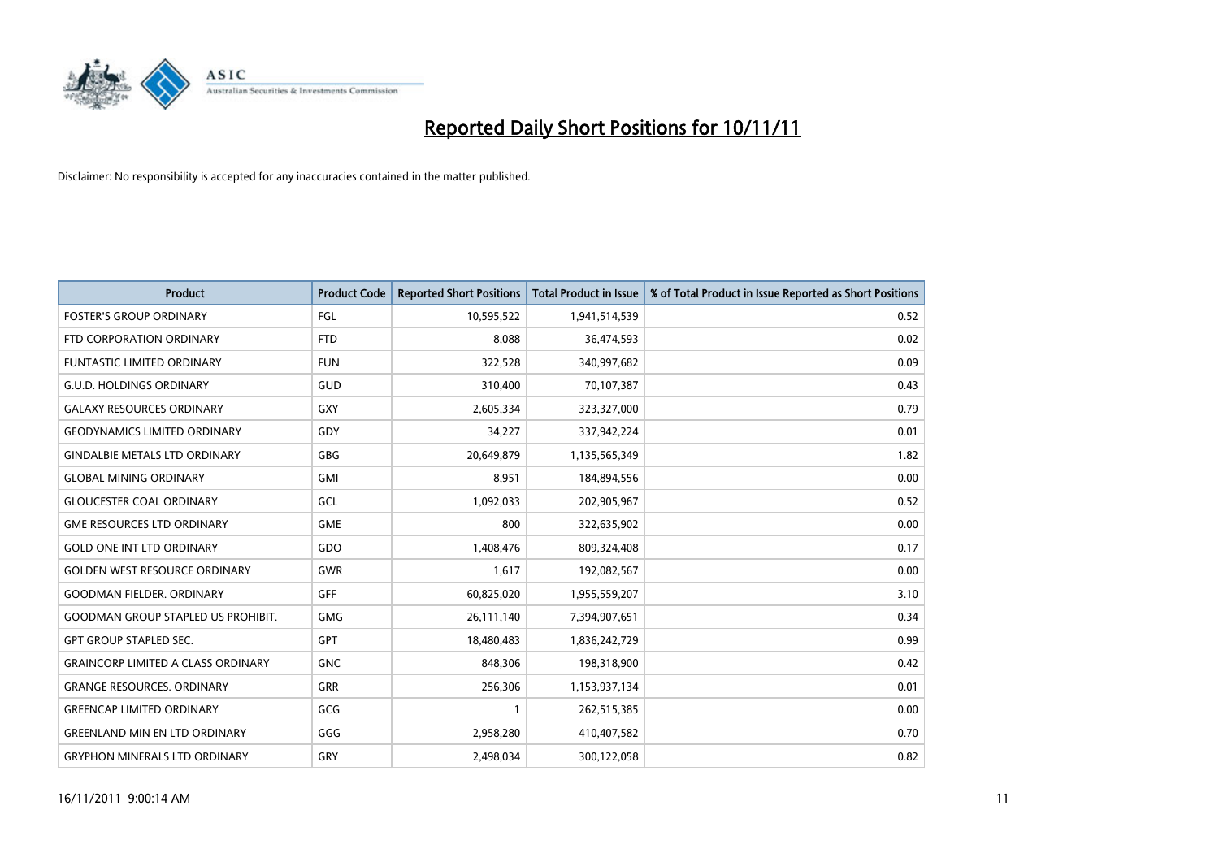

| <b>Product</b>                            | <b>Product Code</b> | <b>Reported Short Positions</b> | <b>Total Product in Issue</b> | % of Total Product in Issue Reported as Short Positions |
|-------------------------------------------|---------------------|---------------------------------|-------------------------------|---------------------------------------------------------|
| <b>FOSTER'S GROUP ORDINARY</b>            | FGL                 | 10,595,522                      | 1,941,514,539                 | 0.52                                                    |
| FTD CORPORATION ORDINARY                  | <b>FTD</b>          | 8,088                           | 36,474,593                    | 0.02                                                    |
| <b>FUNTASTIC LIMITED ORDINARY</b>         | <b>FUN</b>          | 322,528                         | 340,997,682                   | 0.09                                                    |
| G.U.D. HOLDINGS ORDINARY                  | GUD                 | 310,400                         | 70,107,387                    | 0.43                                                    |
| <b>GALAXY RESOURCES ORDINARY</b>          | GXY                 | 2,605,334                       | 323,327,000                   | 0.79                                                    |
| <b>GEODYNAMICS LIMITED ORDINARY</b>       | GDY                 | 34,227                          | 337,942,224                   | 0.01                                                    |
| <b>GINDALBIE METALS LTD ORDINARY</b>      | GBG                 | 20,649,879                      | 1,135,565,349                 | 1.82                                                    |
| <b>GLOBAL MINING ORDINARY</b>             | <b>GMI</b>          | 8,951                           | 184,894,556                   | 0.00                                                    |
| <b>GLOUCESTER COAL ORDINARY</b>           | GCL                 | 1,092,033                       | 202,905,967                   | 0.52                                                    |
| <b>GME RESOURCES LTD ORDINARY</b>         | <b>GME</b>          | 800                             | 322,635,902                   | 0.00                                                    |
| <b>GOLD ONE INT LTD ORDINARY</b>          | GDO                 | 1,408,476                       | 809,324,408                   | 0.17                                                    |
| <b>GOLDEN WEST RESOURCE ORDINARY</b>      | <b>GWR</b>          | 1,617                           | 192,082,567                   | 0.00                                                    |
| <b>GOODMAN FIELDER. ORDINARY</b>          | GFF                 | 60,825,020                      | 1,955,559,207                 | 3.10                                                    |
| <b>GOODMAN GROUP STAPLED US PROHIBIT.</b> | <b>GMG</b>          | 26,111,140                      | 7,394,907,651                 | 0.34                                                    |
| <b>GPT GROUP STAPLED SEC.</b>             | <b>GPT</b>          | 18,480,483                      | 1,836,242,729                 | 0.99                                                    |
| <b>GRAINCORP LIMITED A CLASS ORDINARY</b> | <b>GNC</b>          | 848,306                         | 198,318,900                   | 0.42                                                    |
| <b>GRANGE RESOURCES. ORDINARY</b>         | GRR                 | 256,306                         | 1,153,937,134                 | 0.01                                                    |
| <b>GREENCAP LIMITED ORDINARY</b>          | GCG                 |                                 | 262,515,385                   | 0.00                                                    |
| <b>GREENLAND MIN EN LTD ORDINARY</b>      | GGG                 | 2,958,280                       | 410,407,582                   | 0.70                                                    |
| <b>GRYPHON MINERALS LTD ORDINARY</b>      | GRY                 | 2,498,034                       | 300,122,058                   | 0.82                                                    |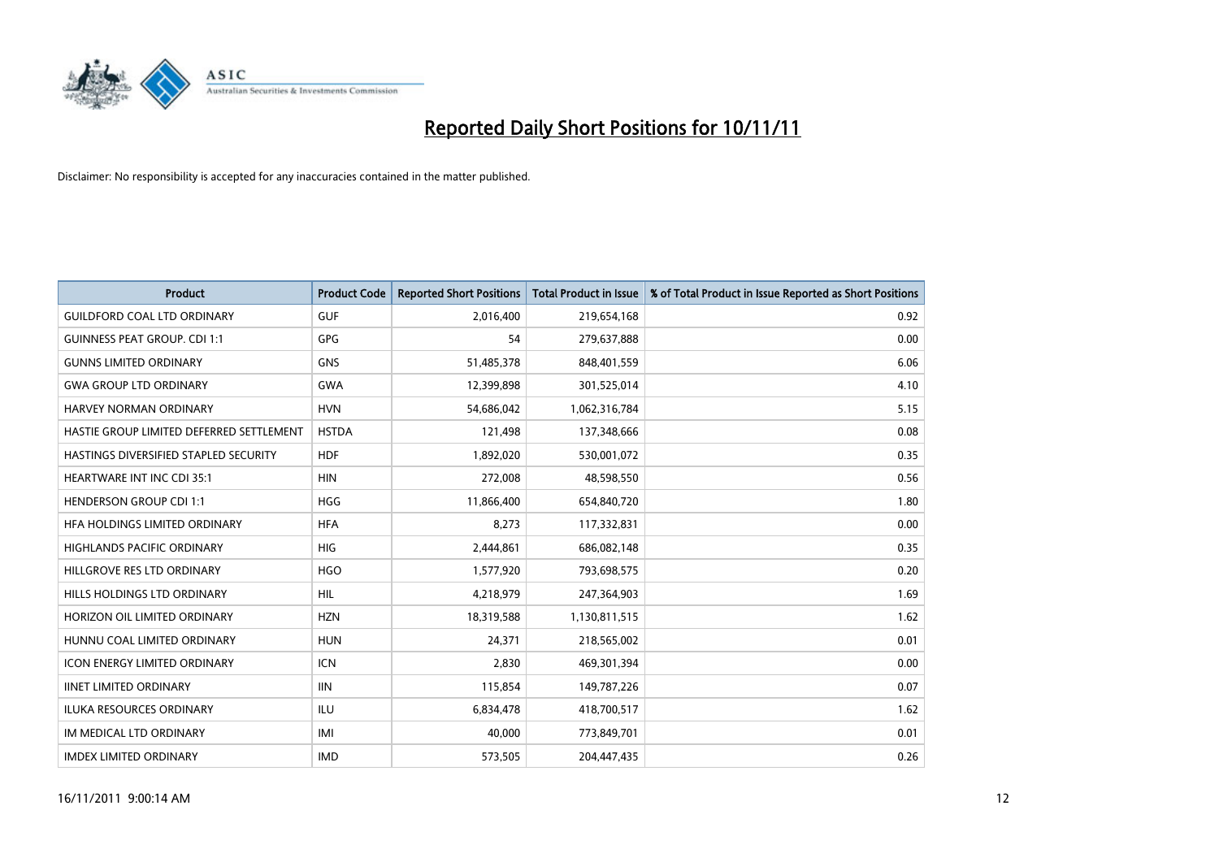

| <b>Product</b>                           | <b>Product Code</b> | <b>Reported Short Positions</b> | <b>Total Product in Issue</b> | % of Total Product in Issue Reported as Short Positions |
|------------------------------------------|---------------------|---------------------------------|-------------------------------|---------------------------------------------------------|
| <b>GUILDFORD COAL LTD ORDINARY</b>       | <b>GUF</b>          | 2,016,400                       | 219,654,168                   | 0.92                                                    |
| <b>GUINNESS PEAT GROUP. CDI 1:1</b>      | <b>GPG</b>          | 54                              | 279,637,888                   | 0.00                                                    |
| <b>GUNNS LIMITED ORDINARY</b>            | <b>GNS</b>          | 51,485,378                      | 848,401,559                   | 6.06                                                    |
| <b>GWA GROUP LTD ORDINARY</b>            | <b>GWA</b>          | 12,399,898                      | 301,525,014                   | 4.10                                                    |
| <b>HARVEY NORMAN ORDINARY</b>            | <b>HVN</b>          | 54,686,042                      | 1,062,316,784                 | 5.15                                                    |
| HASTIE GROUP LIMITED DEFERRED SETTLEMENT | <b>HSTDA</b>        | 121,498                         | 137,348,666                   | 0.08                                                    |
| HASTINGS DIVERSIFIED STAPLED SECURITY    | <b>HDF</b>          | 1,892,020                       | 530,001,072                   | 0.35                                                    |
| <b>HEARTWARE INT INC CDI 35:1</b>        | <b>HIN</b>          | 272,008                         | 48,598,550                    | 0.56                                                    |
| <b>HENDERSON GROUP CDI 1:1</b>           | <b>HGG</b>          | 11,866,400                      | 654,840,720                   | 1.80                                                    |
| HFA HOLDINGS LIMITED ORDINARY            | <b>HFA</b>          | 8,273                           | 117,332,831                   | 0.00                                                    |
| <b>HIGHLANDS PACIFIC ORDINARY</b>        | <b>HIG</b>          | 2,444,861                       | 686,082,148                   | 0.35                                                    |
| HILLGROVE RES LTD ORDINARY               | <b>HGO</b>          | 1,577,920                       | 793,698,575                   | 0.20                                                    |
| HILLS HOLDINGS LTD ORDINARY              | <b>HIL</b>          | 4,218,979                       | 247,364,903                   | 1.69                                                    |
| HORIZON OIL LIMITED ORDINARY             | <b>HZN</b>          | 18,319,588                      | 1,130,811,515                 | 1.62                                                    |
| HUNNU COAL LIMITED ORDINARY              | <b>HUN</b>          | 24,371                          | 218,565,002                   | 0.01                                                    |
| <b>ICON ENERGY LIMITED ORDINARY</b>      | <b>ICN</b>          | 2,830                           | 469,301,394                   | 0.00                                                    |
| <b>IINET LIMITED ORDINARY</b>            | <b>IIN</b>          | 115,854                         | 149,787,226                   | 0.07                                                    |
| ILUKA RESOURCES ORDINARY                 | ILU                 | 6,834,478                       | 418,700,517                   | 1.62                                                    |
| IM MEDICAL LTD ORDINARY                  | IMI                 | 40,000                          | 773,849,701                   | 0.01                                                    |
| <b>IMDEX LIMITED ORDINARY</b>            | <b>IMD</b>          | 573,505                         | 204.447.435                   | 0.26                                                    |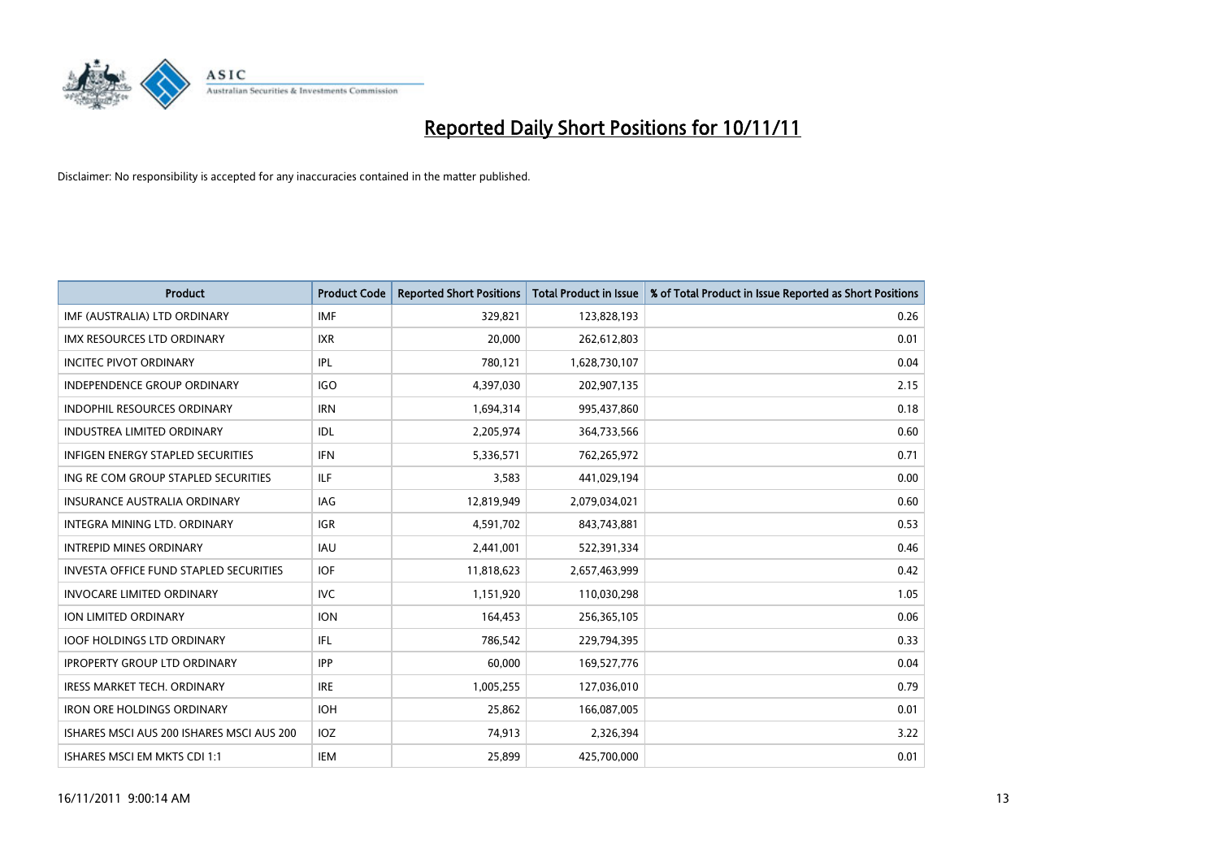

| <b>Product</b>                                | <b>Product Code</b> | <b>Reported Short Positions</b> | <b>Total Product in Issue</b> | % of Total Product in Issue Reported as Short Positions |
|-----------------------------------------------|---------------------|---------------------------------|-------------------------------|---------------------------------------------------------|
| IMF (AUSTRALIA) LTD ORDINARY                  | <b>IMF</b>          | 329,821                         | 123,828,193                   | 0.26                                                    |
| IMX RESOURCES LTD ORDINARY                    | <b>IXR</b>          | 20,000                          | 262,612,803                   | 0.01                                                    |
| <b>INCITEC PIVOT ORDINARY</b>                 | IPL                 | 780,121                         | 1,628,730,107                 | 0.04                                                    |
| INDEPENDENCE GROUP ORDINARY                   | <b>IGO</b>          | 4,397,030                       | 202,907,135                   | 2.15                                                    |
| <b>INDOPHIL RESOURCES ORDINARY</b>            | <b>IRN</b>          | 1,694,314                       | 995,437,860                   | 0.18                                                    |
| <b>INDUSTREA LIMITED ORDINARY</b>             | <b>IDL</b>          | 2,205,974                       | 364,733,566                   | 0.60                                                    |
| <b>INFIGEN ENERGY STAPLED SECURITIES</b>      | <b>IFN</b>          | 5,336,571                       | 762,265,972                   | 0.71                                                    |
| ING RE COM GROUP STAPLED SECURITIES           | ILF.                | 3,583                           | 441,029,194                   | 0.00                                                    |
| INSURANCE AUSTRALIA ORDINARY                  | IAG                 | 12,819,949                      | 2,079,034,021                 | 0.60                                                    |
| INTEGRA MINING LTD. ORDINARY                  | <b>IGR</b>          | 4,591,702                       | 843,743,881                   | 0.53                                                    |
| <b>INTREPID MINES ORDINARY</b>                | <b>IAU</b>          | 2,441,001                       | 522,391,334                   | 0.46                                                    |
| <b>INVESTA OFFICE FUND STAPLED SECURITIES</b> | <b>IOF</b>          | 11,818,623                      | 2,657,463,999                 | 0.42                                                    |
| <b>INVOCARE LIMITED ORDINARY</b>              | <b>IVC</b>          | 1,151,920                       | 110,030,298                   | 1.05                                                    |
| <b>ION LIMITED ORDINARY</b>                   | <b>ION</b>          | 164,453                         | 256,365,105                   | 0.06                                                    |
| <b>IOOF HOLDINGS LTD ORDINARY</b>             | IFL.                | 786,542                         | 229,794,395                   | 0.33                                                    |
| <b>IPROPERTY GROUP LTD ORDINARY</b>           | <b>IPP</b>          | 60,000                          | 169,527,776                   | 0.04                                                    |
| <b>IRESS MARKET TECH. ORDINARY</b>            | <b>IRE</b>          | 1,005,255                       | 127,036,010                   | 0.79                                                    |
| <b>IRON ORE HOLDINGS ORDINARY</b>             | <b>IOH</b>          | 25,862                          | 166,087,005                   | 0.01                                                    |
| ISHARES MSCI AUS 200 ISHARES MSCI AUS 200     | <b>IOZ</b>          | 74,913                          | 2,326,394                     | 3.22                                                    |
| ISHARES MSCI EM MKTS CDI 1:1                  | IEM                 | 25.899                          | 425,700,000                   | 0.01                                                    |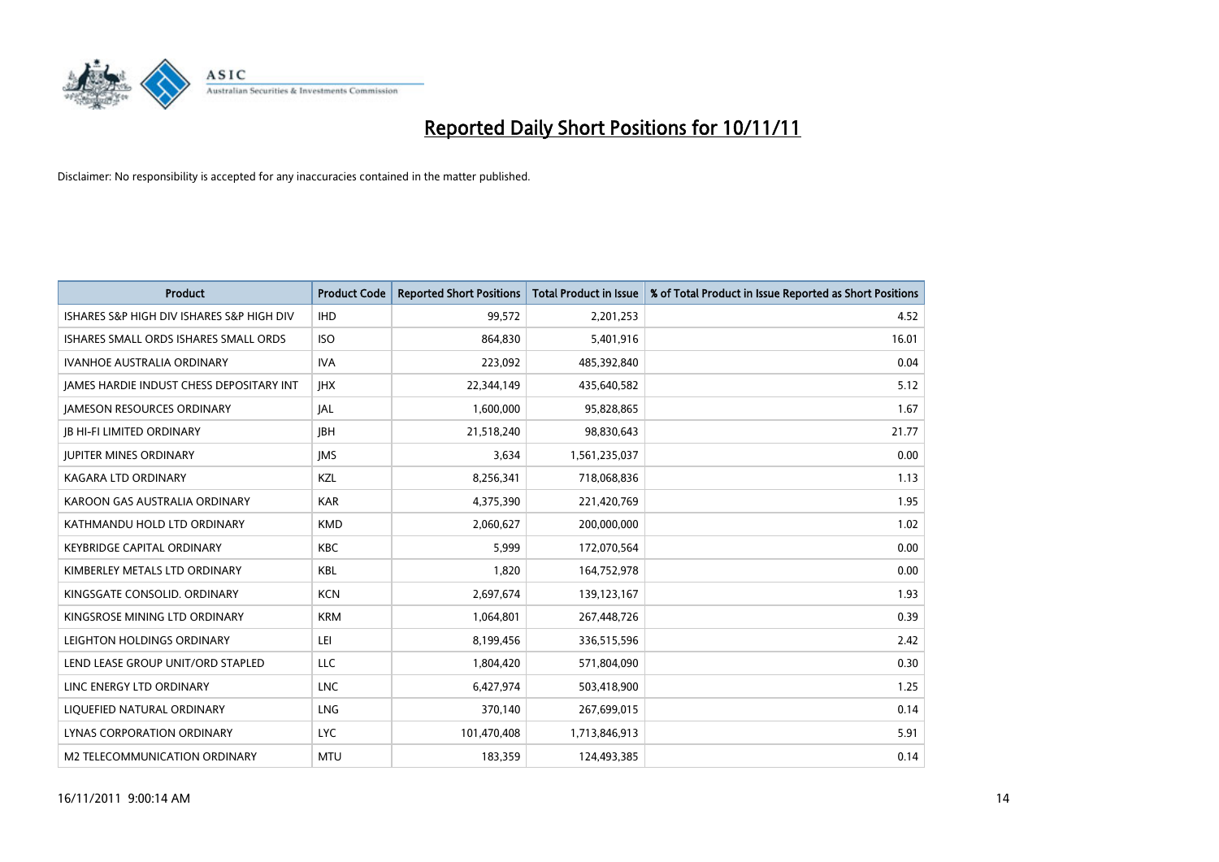

| <b>Product</b>                            | <b>Product Code</b> | <b>Reported Short Positions</b> | <b>Total Product in Issue</b> | % of Total Product in Issue Reported as Short Positions |
|-------------------------------------------|---------------------|---------------------------------|-------------------------------|---------------------------------------------------------|
| ISHARES S&P HIGH DIV ISHARES S&P HIGH DIV | <b>IHD</b>          | 99,572                          | 2,201,253                     | 4.52                                                    |
| ISHARES SMALL ORDS ISHARES SMALL ORDS     | <b>ISO</b>          | 864,830                         | 5,401,916                     | 16.01                                                   |
| <b>IVANHOE AUSTRALIA ORDINARY</b>         | <b>IVA</b>          | 223,092                         | 485,392,840                   | 0.04                                                    |
| JAMES HARDIE INDUST CHESS DEPOSITARY INT  | <b>IHX</b>          | 22,344,149                      | 435,640,582                   | 5.12                                                    |
| JAMESON RESOURCES ORDINARY                | <b>JAL</b>          | 1,600,000                       | 95,828,865                    | 1.67                                                    |
| <b>IB HI-FI LIMITED ORDINARY</b>          | <b>IBH</b>          | 21,518,240                      | 98,830,643                    | 21.77                                                   |
| <b>JUPITER MINES ORDINARY</b>             | <b>IMS</b>          | 3,634                           | 1,561,235,037                 | 0.00                                                    |
| KAGARA LTD ORDINARY                       | KZL                 | 8,256,341                       | 718,068,836                   | 1.13                                                    |
| KAROON GAS AUSTRALIA ORDINARY             | <b>KAR</b>          | 4,375,390                       | 221,420,769                   | 1.95                                                    |
| KATHMANDU HOLD LTD ORDINARY               | <b>KMD</b>          | 2,060,627                       | 200,000,000                   | 1.02                                                    |
| KEYBRIDGE CAPITAL ORDINARY                | <b>KBC</b>          | 5,999                           | 172,070,564                   | 0.00                                                    |
| KIMBERLEY METALS LTD ORDINARY             | <b>KBL</b>          | 1,820                           | 164,752,978                   | 0.00                                                    |
| KINGSGATE CONSOLID. ORDINARY              | <b>KCN</b>          | 2,697,674                       | 139,123,167                   | 1.93                                                    |
| KINGSROSE MINING LTD ORDINARY             | <b>KRM</b>          | 1,064,801                       | 267,448,726                   | 0.39                                                    |
| LEIGHTON HOLDINGS ORDINARY                | LEI                 | 8,199,456                       | 336,515,596                   | 2.42                                                    |
| LEND LEASE GROUP UNIT/ORD STAPLED         | <b>LLC</b>          | 1,804,420                       | 571,804,090                   | 0.30                                                    |
| LINC ENERGY LTD ORDINARY                  | <b>LNC</b>          | 6,427,974                       | 503,418,900                   | 1.25                                                    |
| LIQUEFIED NATURAL ORDINARY                | <b>LNG</b>          | 370,140                         | 267,699,015                   | 0.14                                                    |
| <b>LYNAS CORPORATION ORDINARY</b>         | <b>LYC</b>          | 101,470,408                     | 1,713,846,913                 | 5.91                                                    |
| M2 TELECOMMUNICATION ORDINARY             | <b>MTU</b>          | 183,359                         | 124,493,385                   | 0.14                                                    |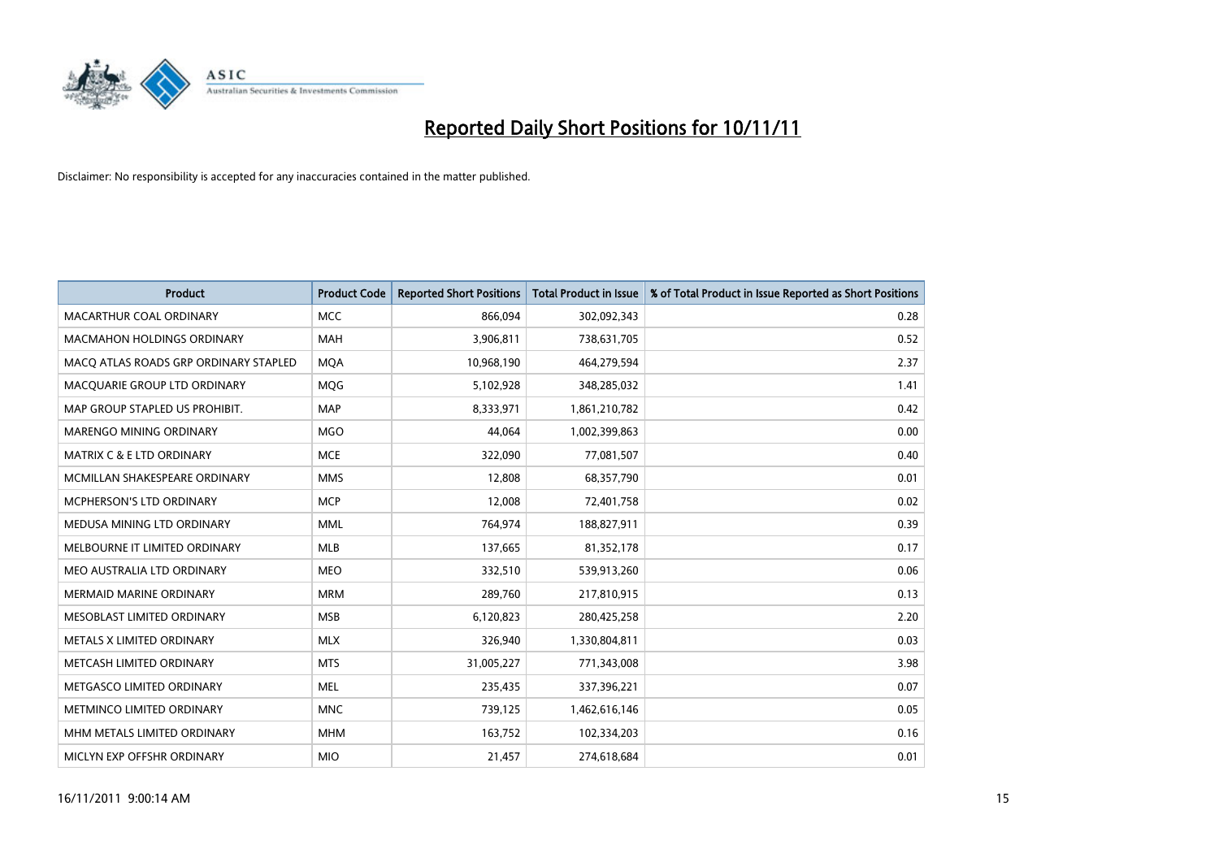

| <b>Product</b>                        | <b>Product Code</b> | <b>Reported Short Positions</b> | Total Product in Issue | % of Total Product in Issue Reported as Short Positions |
|---------------------------------------|---------------------|---------------------------------|------------------------|---------------------------------------------------------|
| MACARTHUR COAL ORDINARY               | <b>MCC</b>          | 866.094                         | 302,092,343            | 0.28                                                    |
| <b>MACMAHON HOLDINGS ORDINARY</b>     | <b>MAH</b>          | 3,906,811                       | 738,631,705            | 0.52                                                    |
| MACO ATLAS ROADS GRP ORDINARY STAPLED | <b>MQA</b>          | 10,968,190                      | 464,279,594            | 2.37                                                    |
| MACQUARIE GROUP LTD ORDINARY          | <b>MOG</b>          | 5,102,928                       | 348,285,032            | 1.41                                                    |
| MAP GROUP STAPLED US PROHIBIT.        | <b>MAP</b>          | 8,333,971                       | 1,861,210,782          | 0.42                                                    |
| MARENGO MINING ORDINARY               | <b>MGO</b>          | 44,064                          | 1,002,399,863          | 0.00                                                    |
| MATRIX C & E LTD ORDINARY             | <b>MCE</b>          | 322,090                         | 77,081,507             | 0.40                                                    |
| MCMILLAN SHAKESPEARE ORDINARY         | <b>MMS</b>          | 12.808                          | 68,357,790             | 0.01                                                    |
| MCPHERSON'S LTD ORDINARY              | <b>MCP</b>          | 12,008                          | 72,401,758             | 0.02                                                    |
| MEDUSA MINING LTD ORDINARY            | <b>MML</b>          | 764,974                         | 188,827,911            | 0.39                                                    |
| MELBOURNE IT LIMITED ORDINARY         | <b>MLB</b>          | 137,665                         | 81,352,178             | 0.17                                                    |
| MEO AUSTRALIA LTD ORDINARY            | <b>MEO</b>          | 332,510                         | 539,913,260            | 0.06                                                    |
| MERMAID MARINE ORDINARY               | <b>MRM</b>          | 289,760                         | 217,810,915            | 0.13                                                    |
| MESOBLAST LIMITED ORDINARY            | <b>MSB</b>          | 6,120,823                       | 280,425,258            | 2.20                                                    |
| METALS X LIMITED ORDINARY             | <b>MLX</b>          | 326,940                         | 1,330,804,811          | 0.03                                                    |
| METCASH LIMITED ORDINARY              | <b>MTS</b>          | 31,005,227                      | 771,343,008            | 3.98                                                    |
| METGASCO LIMITED ORDINARY             | <b>MEL</b>          | 235,435                         | 337,396,221            | 0.07                                                    |
| METMINCO LIMITED ORDINARY             | <b>MNC</b>          | 739,125                         | 1,462,616,146          | 0.05                                                    |
| MHM METALS LIMITED ORDINARY           | <b>MHM</b>          | 163,752                         | 102,334,203            | 0.16                                                    |
| MICLYN EXP OFFSHR ORDINARY            | <b>MIO</b>          | 21,457                          | 274,618,684            | 0.01                                                    |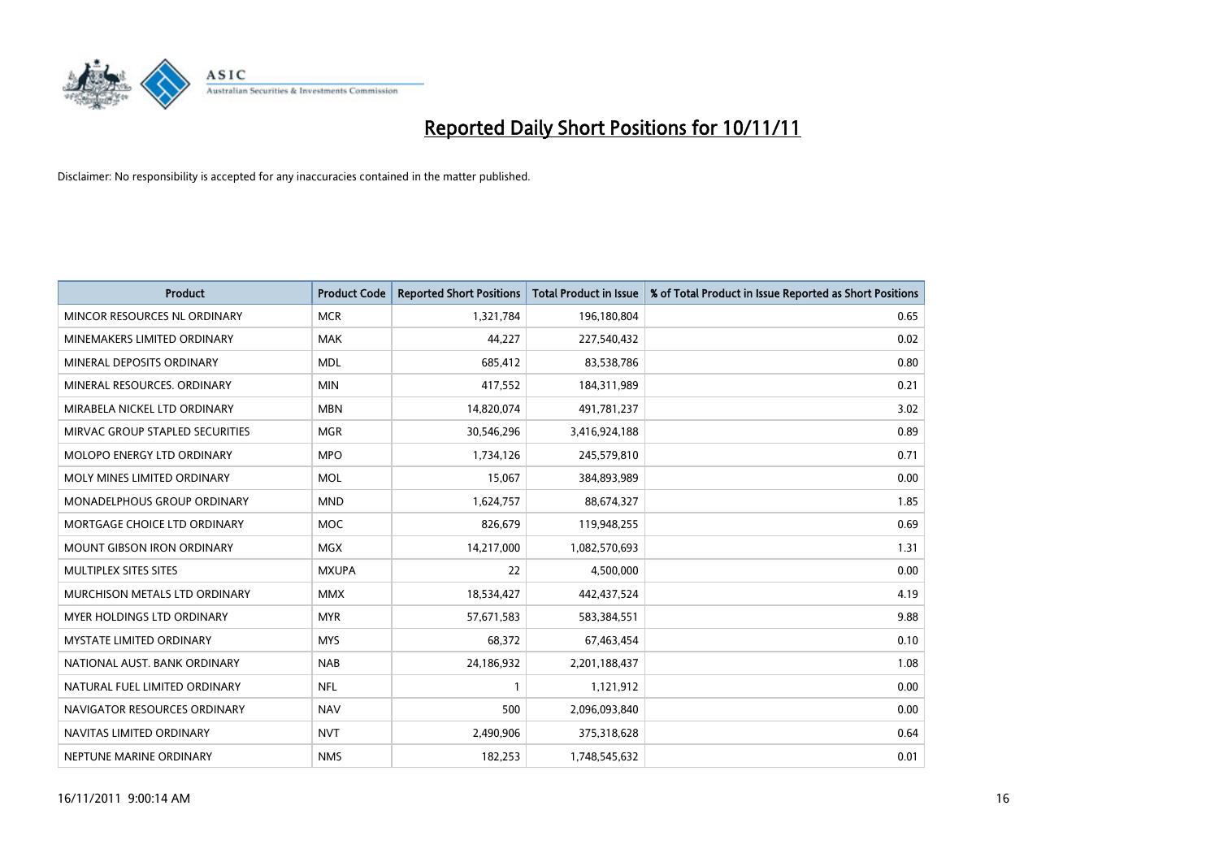

| <b>Product</b>                       | <b>Product Code</b> | <b>Reported Short Positions</b> | <b>Total Product in Issue</b> | % of Total Product in Issue Reported as Short Positions |
|--------------------------------------|---------------------|---------------------------------|-------------------------------|---------------------------------------------------------|
| MINCOR RESOURCES NL ORDINARY         | <b>MCR</b>          | 1,321,784                       | 196,180,804                   | 0.65                                                    |
| MINEMAKERS LIMITED ORDINARY          | <b>MAK</b>          | 44,227                          | 227,540,432                   | 0.02                                                    |
| MINERAL DEPOSITS ORDINARY            | <b>MDL</b>          | 685,412                         | 83,538,786                    | 0.80                                                    |
| MINERAL RESOURCES. ORDINARY          | <b>MIN</b>          | 417,552                         | 184,311,989                   | 0.21                                                    |
| MIRABELA NICKEL LTD ORDINARY         | <b>MBN</b>          | 14,820,074                      | 491,781,237                   | 3.02                                                    |
| MIRVAC GROUP STAPLED SECURITIES      | <b>MGR</b>          | 30,546,296                      | 3,416,924,188                 | 0.89                                                    |
| <b>MOLOPO ENERGY LTD ORDINARY</b>    | <b>MPO</b>          | 1,734,126                       | 245,579,810                   | 0.71                                                    |
| MOLY MINES LIMITED ORDINARY          | <b>MOL</b>          | 15,067                          | 384,893,989                   | 0.00                                                    |
| MONADELPHOUS GROUP ORDINARY          | <b>MND</b>          | 1,624,757                       | 88,674,327                    | 1.85                                                    |
| MORTGAGE CHOICE LTD ORDINARY         | <b>MOC</b>          | 826,679                         | 119,948,255                   | 0.69                                                    |
| MOUNT GIBSON IRON ORDINARY           | <b>MGX</b>          | 14,217,000                      | 1,082,570,693                 | 1.31                                                    |
| <b>MULTIPLEX SITES SITES</b>         | <b>MXUPA</b>        | 22                              | 4,500,000                     | 0.00                                                    |
| <b>MURCHISON METALS LTD ORDINARY</b> | <b>MMX</b>          | 18,534,427                      | 442,437,524                   | 4.19                                                    |
| <b>MYER HOLDINGS LTD ORDINARY</b>    | <b>MYR</b>          | 57,671,583                      | 583,384,551                   | 9.88                                                    |
| <b>MYSTATE LIMITED ORDINARY</b>      | <b>MYS</b>          | 68,372                          | 67,463,454                    | 0.10                                                    |
| NATIONAL AUST. BANK ORDINARY         | <b>NAB</b>          | 24,186,932                      | 2,201,188,437                 | 1.08                                                    |
| NATURAL FUEL LIMITED ORDINARY        | <b>NFL</b>          |                                 | 1,121,912                     | 0.00                                                    |
| NAVIGATOR RESOURCES ORDINARY         | <b>NAV</b>          | 500                             | 2,096,093,840                 | 0.00                                                    |
| NAVITAS LIMITED ORDINARY             | <b>NVT</b>          | 2,490,906                       | 375,318,628                   | 0.64                                                    |
| NEPTUNE MARINE ORDINARY              | <b>NMS</b>          | 182,253                         | 1,748,545,632                 | 0.01                                                    |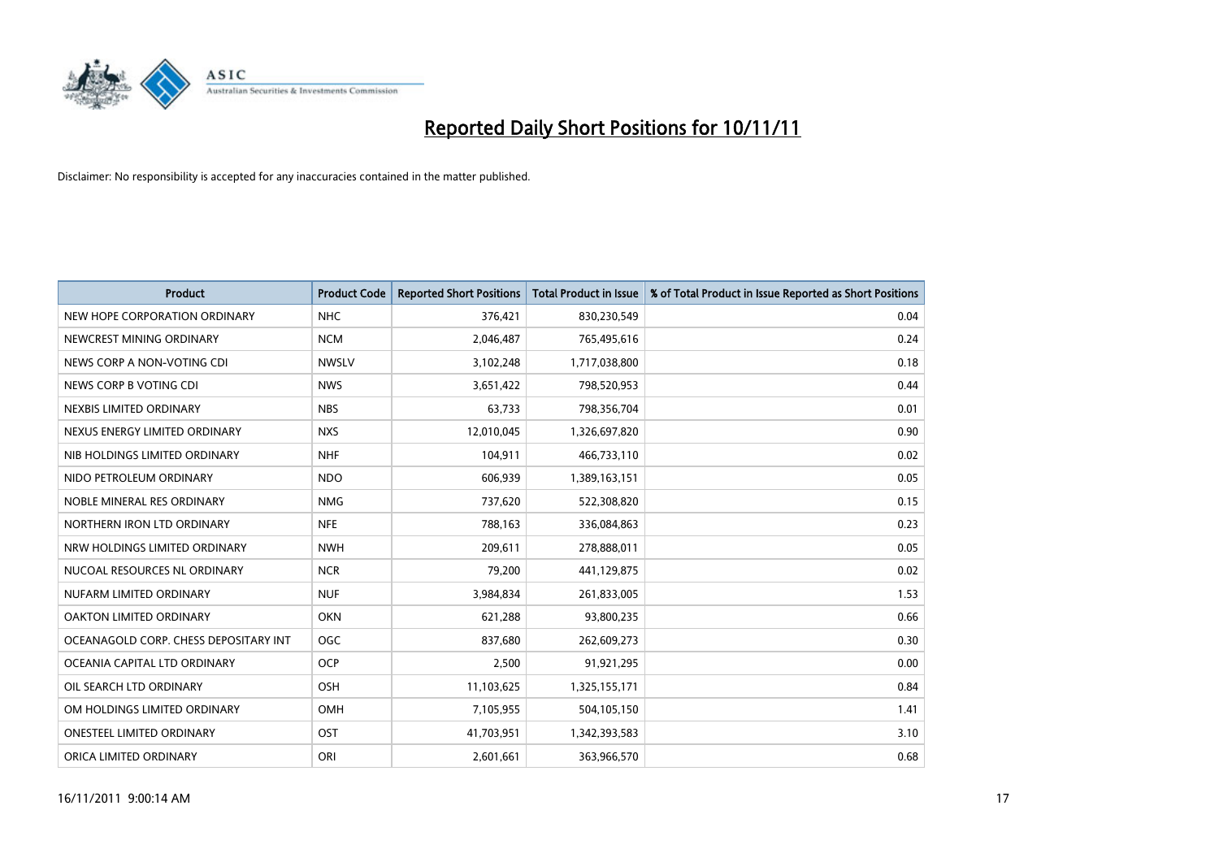

| <b>Product</b>                        | <b>Product Code</b> | <b>Reported Short Positions</b> | <b>Total Product in Issue</b> | % of Total Product in Issue Reported as Short Positions |
|---------------------------------------|---------------------|---------------------------------|-------------------------------|---------------------------------------------------------|
| NEW HOPE CORPORATION ORDINARY         | <b>NHC</b>          | 376,421                         | 830,230,549                   | 0.04                                                    |
| NEWCREST MINING ORDINARY              | <b>NCM</b>          | 2,046,487                       | 765,495,616                   | 0.24                                                    |
| NEWS CORP A NON-VOTING CDI            | <b>NWSLV</b>        | 3,102,248                       | 1,717,038,800                 | 0.18                                                    |
| NEWS CORP B VOTING CDI                | <b>NWS</b>          | 3,651,422                       | 798,520,953                   | 0.44                                                    |
| NEXBIS LIMITED ORDINARY               | <b>NBS</b>          | 63,733                          | 798,356,704                   | 0.01                                                    |
| NEXUS ENERGY LIMITED ORDINARY         | <b>NXS</b>          | 12,010,045                      | 1,326,697,820                 | 0.90                                                    |
| NIB HOLDINGS LIMITED ORDINARY         | <b>NHF</b>          | 104,911                         | 466,733,110                   | 0.02                                                    |
| NIDO PETROLEUM ORDINARY               | <b>NDO</b>          | 606,939                         | 1,389,163,151                 | 0.05                                                    |
| NOBLE MINERAL RES ORDINARY            | <b>NMG</b>          | 737,620                         | 522,308,820                   | 0.15                                                    |
| NORTHERN IRON LTD ORDINARY            | <b>NFE</b>          | 788,163                         | 336,084,863                   | 0.23                                                    |
| NRW HOLDINGS LIMITED ORDINARY         | <b>NWH</b>          | 209,611                         | 278,888,011                   | 0.05                                                    |
| NUCOAL RESOURCES NL ORDINARY          | <b>NCR</b>          | 79,200                          | 441,129,875                   | 0.02                                                    |
| NUFARM LIMITED ORDINARY               | <b>NUF</b>          | 3,984,834                       | 261,833,005                   | 1.53                                                    |
| OAKTON LIMITED ORDINARY               | <b>OKN</b>          | 621,288                         | 93,800,235                    | 0.66                                                    |
| OCEANAGOLD CORP. CHESS DEPOSITARY INT | <b>OGC</b>          | 837,680                         | 262,609,273                   | 0.30                                                    |
| OCEANIA CAPITAL LTD ORDINARY          | <b>OCP</b>          | 2,500                           | 91,921,295                    | 0.00                                                    |
| OIL SEARCH LTD ORDINARY               | <b>OSH</b>          | 11,103,625                      | 1,325,155,171                 | 0.84                                                    |
| OM HOLDINGS LIMITED ORDINARY          | <b>OMH</b>          | 7,105,955                       | 504,105,150                   | 1.41                                                    |
| <b>ONESTEEL LIMITED ORDINARY</b>      | OST                 | 41,703,951                      | 1,342,393,583                 | 3.10                                                    |
| ORICA LIMITED ORDINARY                | ORI                 | 2,601,661                       | 363,966,570                   | 0.68                                                    |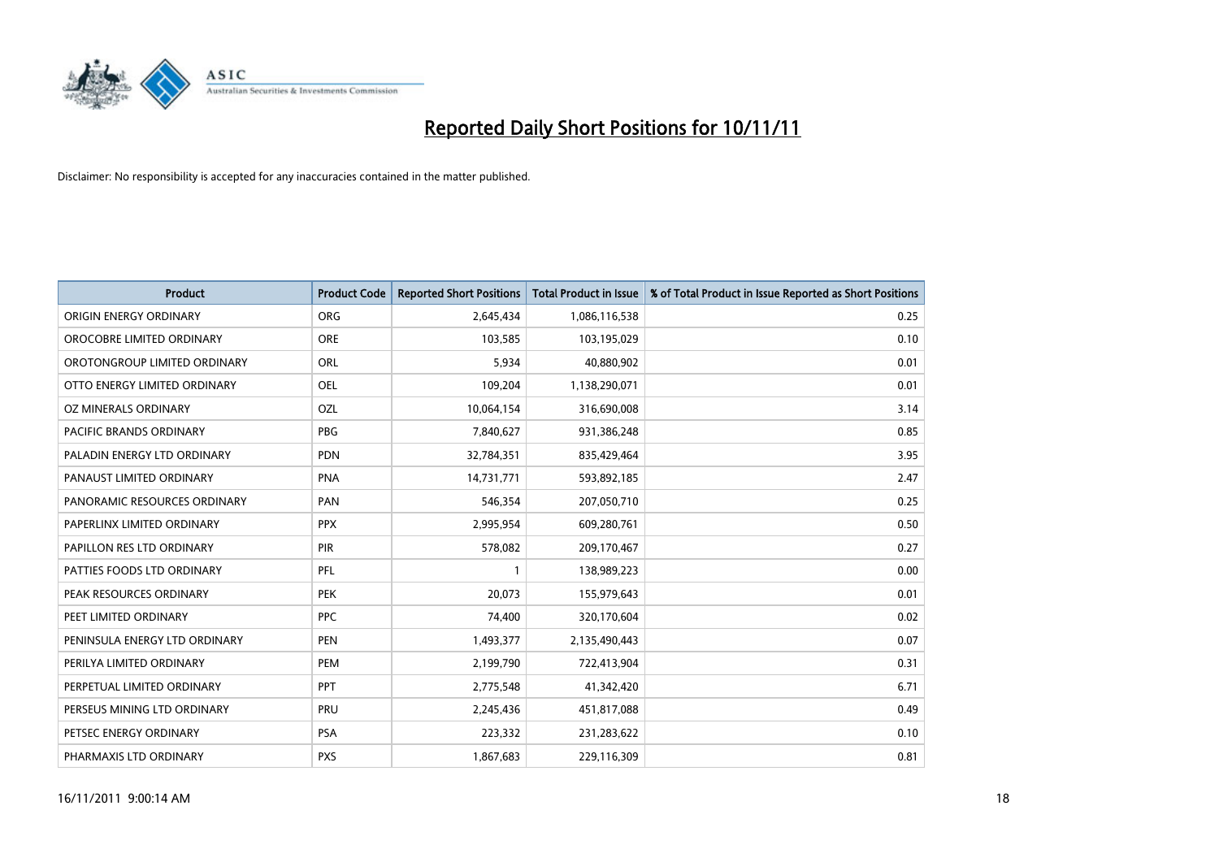

| <b>Product</b>                | <b>Product Code</b> | <b>Reported Short Positions</b> | <b>Total Product in Issue</b> | % of Total Product in Issue Reported as Short Positions |
|-------------------------------|---------------------|---------------------------------|-------------------------------|---------------------------------------------------------|
| ORIGIN ENERGY ORDINARY        | <b>ORG</b>          | 2,645,434                       | 1,086,116,538                 | 0.25                                                    |
| OROCOBRE LIMITED ORDINARY     | <b>ORE</b>          | 103,585                         | 103,195,029                   | 0.10                                                    |
| OROTONGROUP LIMITED ORDINARY  | <b>ORL</b>          | 5,934                           | 40,880,902                    | 0.01                                                    |
| OTTO ENERGY LIMITED ORDINARY  | OEL                 | 109,204                         | 1,138,290,071                 | 0.01                                                    |
| OZ MINERALS ORDINARY          | OZL                 | 10,064,154                      | 316,690,008                   | 3.14                                                    |
| PACIFIC BRANDS ORDINARY       | <b>PBG</b>          | 7,840,627                       | 931,386,248                   | 0.85                                                    |
| PALADIN ENERGY LTD ORDINARY   | <b>PDN</b>          | 32,784,351                      | 835,429,464                   | 3.95                                                    |
| PANAUST LIMITED ORDINARY      | PNA                 | 14,731,771                      | 593,892,185                   | 2.47                                                    |
| PANORAMIC RESOURCES ORDINARY  | PAN                 | 546,354                         | 207,050,710                   | 0.25                                                    |
| PAPERLINX LIMITED ORDINARY    | <b>PPX</b>          | 2,995,954                       | 609,280,761                   | 0.50                                                    |
| PAPILLON RES LTD ORDINARY     | PIR                 | 578,082                         | 209,170,467                   | 0.27                                                    |
| PATTIES FOODS LTD ORDINARY    | PFL                 |                                 | 138,989,223                   | 0.00                                                    |
| PEAK RESOURCES ORDINARY       | <b>PEK</b>          | 20,073                          | 155,979,643                   | 0.01                                                    |
| PEET LIMITED ORDINARY         | <b>PPC</b>          | 74,400                          | 320,170,604                   | 0.02                                                    |
| PENINSULA ENERGY LTD ORDINARY | <b>PEN</b>          | 1,493,377                       | 2,135,490,443                 | 0.07                                                    |
| PERILYA LIMITED ORDINARY      | PEM                 | 2,199,790                       | 722,413,904                   | 0.31                                                    |
| PERPETUAL LIMITED ORDINARY    | <b>PPT</b>          | 2,775,548                       | 41,342,420                    | 6.71                                                    |
| PERSEUS MINING LTD ORDINARY   | PRU                 | 2,245,436                       | 451,817,088                   | 0.49                                                    |
| PETSEC ENERGY ORDINARY        | <b>PSA</b>          | 223,332                         | 231,283,622                   | 0.10                                                    |
| PHARMAXIS LTD ORDINARY        | <b>PXS</b>          | 1,867,683                       | 229,116,309                   | 0.81                                                    |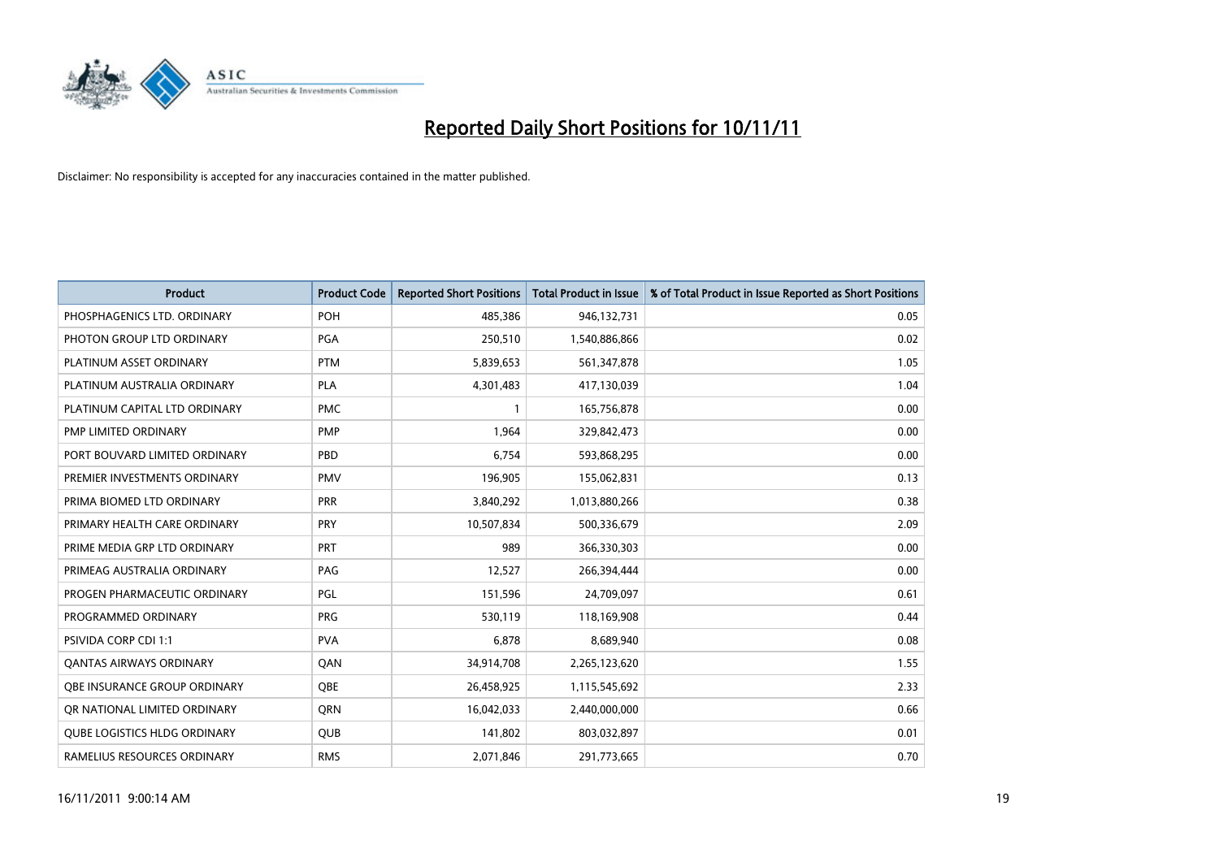

| <b>Product</b>                 | <b>Product Code</b> | <b>Reported Short Positions</b> | Total Product in Issue | % of Total Product in Issue Reported as Short Positions |
|--------------------------------|---------------------|---------------------------------|------------------------|---------------------------------------------------------|
| PHOSPHAGENICS LTD. ORDINARY    | POH                 | 485,386                         | 946,132,731            | 0.05                                                    |
| PHOTON GROUP LTD ORDINARY      | PGA                 | 250,510                         | 1,540,886,866          | 0.02                                                    |
| PLATINUM ASSET ORDINARY        | <b>PTM</b>          | 5,839,653                       | 561,347,878            | 1.05                                                    |
| PLATINUM AUSTRALIA ORDINARY    | <b>PLA</b>          | 4,301,483                       | 417,130,039            | 1.04                                                    |
| PLATINUM CAPITAL LTD ORDINARY  | <b>PMC</b>          |                                 | 165,756,878            | 0.00                                                    |
| PMP LIMITED ORDINARY           | PMP                 | 1,964                           | 329,842,473            | 0.00                                                    |
| PORT BOUVARD LIMITED ORDINARY  | PBD                 | 6,754                           | 593,868,295            | 0.00                                                    |
| PREMIER INVESTMENTS ORDINARY   | <b>PMV</b>          | 196,905                         | 155,062,831            | 0.13                                                    |
| PRIMA BIOMED LTD ORDINARY      | <b>PRR</b>          | 3,840,292                       | 1,013,880,266          | 0.38                                                    |
| PRIMARY HEALTH CARE ORDINARY   | <b>PRY</b>          | 10,507,834                      | 500,336,679            | 2.09                                                    |
| PRIME MEDIA GRP LTD ORDINARY   | <b>PRT</b>          | 989                             | 366,330,303            | 0.00                                                    |
| PRIMEAG AUSTRALIA ORDINARY     | PAG                 | 12,527                          | 266,394,444            | 0.00                                                    |
| PROGEN PHARMACEUTIC ORDINARY   | PGL                 | 151,596                         | 24,709,097             | 0.61                                                    |
| PROGRAMMED ORDINARY            | <b>PRG</b>          | 530,119                         | 118,169,908            | 0.44                                                    |
| <b>PSIVIDA CORP CDI 1:1</b>    | <b>PVA</b>          | 6.878                           | 8,689,940              | 0.08                                                    |
| <b>QANTAS AIRWAYS ORDINARY</b> | QAN                 | 34,914,708                      | 2,265,123,620          | 1.55                                                    |
| OBE INSURANCE GROUP ORDINARY   | <b>OBE</b>          | 26,458,925                      | 1,115,545,692          | 2.33                                                    |
| OR NATIONAL LIMITED ORDINARY   | <b>ORN</b>          | 16,042,033                      | 2,440,000,000          | 0.66                                                    |
| QUBE LOGISTICS HLDG ORDINARY   | <b>QUB</b>          | 141,802                         | 803,032,897            | 0.01                                                    |
| RAMELIUS RESOURCES ORDINARY    | <b>RMS</b>          | 2,071,846                       | 291,773,665            | 0.70                                                    |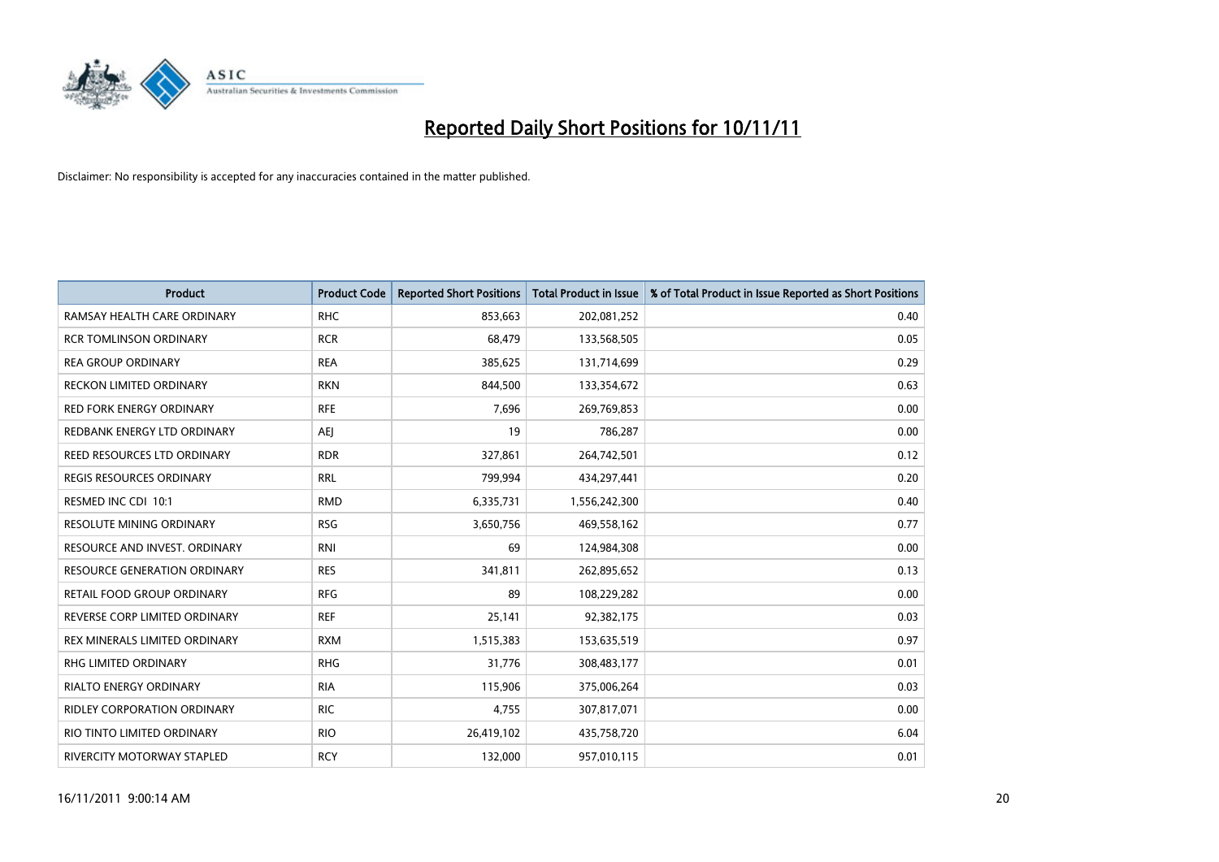

| <b>Product</b>                      | <b>Product Code</b> | <b>Reported Short Positions</b> | <b>Total Product in Issue</b> | % of Total Product in Issue Reported as Short Positions |
|-------------------------------------|---------------------|---------------------------------|-------------------------------|---------------------------------------------------------|
| RAMSAY HEALTH CARE ORDINARY         | <b>RHC</b>          | 853,663                         | 202,081,252                   | 0.40                                                    |
| <b>RCR TOMLINSON ORDINARY</b>       | <b>RCR</b>          | 68,479                          | 133,568,505                   | 0.05                                                    |
| <b>REA GROUP ORDINARY</b>           | <b>REA</b>          | 385,625                         | 131,714,699                   | 0.29                                                    |
| RECKON LIMITED ORDINARY             | <b>RKN</b>          | 844,500                         | 133,354,672                   | 0.63                                                    |
| <b>RED FORK ENERGY ORDINARY</b>     | <b>RFE</b>          | 7,696                           | 269,769,853                   | 0.00                                                    |
| REDBANK ENERGY LTD ORDINARY         | AEJ                 | 19                              | 786,287                       | 0.00                                                    |
| REED RESOURCES LTD ORDINARY         | <b>RDR</b>          | 327,861                         | 264,742,501                   | 0.12                                                    |
| REGIS RESOURCES ORDINARY            | <b>RRL</b>          | 799,994                         | 434,297,441                   | 0.20                                                    |
| RESMED INC CDI 10:1                 | <b>RMD</b>          | 6,335,731                       | 1,556,242,300                 | 0.40                                                    |
| <b>RESOLUTE MINING ORDINARY</b>     | <b>RSG</b>          | 3,650,756                       | 469,558,162                   | 0.77                                                    |
| RESOURCE AND INVEST. ORDINARY       | <b>RNI</b>          | 69                              | 124,984,308                   | 0.00                                                    |
| <b>RESOURCE GENERATION ORDINARY</b> | <b>RES</b>          | 341,811                         | 262,895,652                   | 0.13                                                    |
| RETAIL FOOD GROUP ORDINARY          | <b>RFG</b>          | 89                              | 108,229,282                   | 0.00                                                    |
| REVERSE CORP LIMITED ORDINARY       | <b>REF</b>          | 25,141                          | 92,382,175                    | 0.03                                                    |
| REX MINERALS LIMITED ORDINARY       | <b>RXM</b>          | 1,515,383                       | 153,635,519                   | 0.97                                                    |
| RHG LIMITED ORDINARY                | <b>RHG</b>          | 31,776                          | 308,483,177                   | 0.01                                                    |
| RIALTO ENERGY ORDINARY              | <b>RIA</b>          | 115,906                         | 375,006,264                   | 0.03                                                    |
| RIDLEY CORPORATION ORDINARY         | <b>RIC</b>          | 4,755                           | 307,817,071                   | 0.00                                                    |
| RIO TINTO LIMITED ORDINARY          | <b>RIO</b>          | 26,419,102                      | 435,758,720                   | 6.04                                                    |
| RIVERCITY MOTORWAY STAPLED          | <b>RCY</b>          | 132,000                         | 957,010,115                   | 0.01                                                    |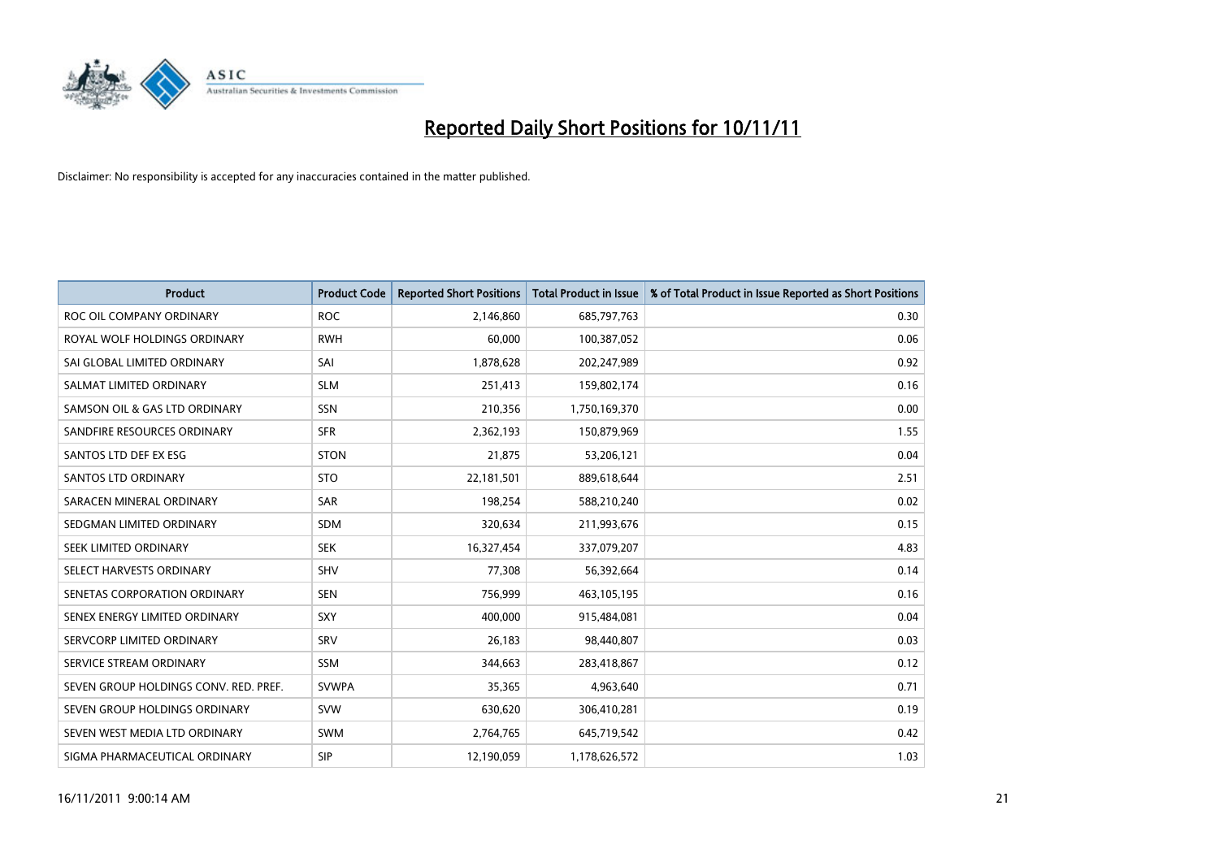

| <b>Product</b>                        | <b>Product Code</b> | <b>Reported Short Positions</b> | <b>Total Product in Issue</b> | % of Total Product in Issue Reported as Short Positions |
|---------------------------------------|---------------------|---------------------------------|-------------------------------|---------------------------------------------------------|
| ROC OIL COMPANY ORDINARY              | <b>ROC</b>          | 2,146,860                       | 685,797,763                   | 0.30                                                    |
| ROYAL WOLF HOLDINGS ORDINARY          | <b>RWH</b>          | 60,000                          | 100,387,052                   | 0.06                                                    |
| SAI GLOBAL LIMITED ORDINARY           | SAI                 | 1,878,628                       | 202,247,989                   | 0.92                                                    |
| SALMAT LIMITED ORDINARY               | <b>SLM</b>          | 251,413                         | 159,802,174                   | 0.16                                                    |
| SAMSON OIL & GAS LTD ORDINARY         | SSN                 | 210,356                         | 1,750,169,370                 | 0.00                                                    |
| SANDFIRE RESOURCES ORDINARY           | <b>SFR</b>          | 2,362,193                       | 150,879,969                   | 1.55                                                    |
| SANTOS LTD DEF EX ESG                 | <b>STON</b>         | 21,875                          | 53,206,121                    | 0.04                                                    |
| SANTOS LTD ORDINARY                   | <b>STO</b>          | 22,181,501                      | 889,618,644                   | 2.51                                                    |
| SARACEN MINERAL ORDINARY              | SAR                 | 198,254                         | 588,210,240                   | 0.02                                                    |
| SEDGMAN LIMITED ORDINARY              | <b>SDM</b>          | 320,634                         | 211,993,676                   | 0.15                                                    |
| SEEK LIMITED ORDINARY                 | <b>SEK</b>          | 16,327,454                      | 337,079,207                   | 4.83                                                    |
| SELECT HARVESTS ORDINARY              | <b>SHV</b>          | 77,308                          | 56,392,664                    | 0.14                                                    |
| SENETAS CORPORATION ORDINARY          | <b>SEN</b>          | 756,999                         | 463,105,195                   | 0.16                                                    |
| SENEX ENERGY LIMITED ORDINARY         | SXY                 | 400.000                         | 915,484,081                   | 0.04                                                    |
| SERVCORP LIMITED ORDINARY             | SRV                 | 26,183                          | 98,440,807                    | 0.03                                                    |
| SERVICE STREAM ORDINARY               | <b>SSM</b>          | 344,663                         | 283,418,867                   | 0.12                                                    |
| SEVEN GROUP HOLDINGS CONV. RED. PREF. | <b>SVWPA</b>        | 35,365                          | 4,963,640                     | 0.71                                                    |
| SEVEN GROUP HOLDINGS ORDINARY         | <b>SVW</b>          | 630,620                         | 306,410,281                   | 0.19                                                    |
| SEVEN WEST MEDIA LTD ORDINARY         | <b>SWM</b>          | 2,764,765                       | 645,719,542                   | 0.42                                                    |
| SIGMA PHARMACEUTICAL ORDINARY         | <b>SIP</b>          | 12,190,059                      | 1,178,626,572                 | 1.03                                                    |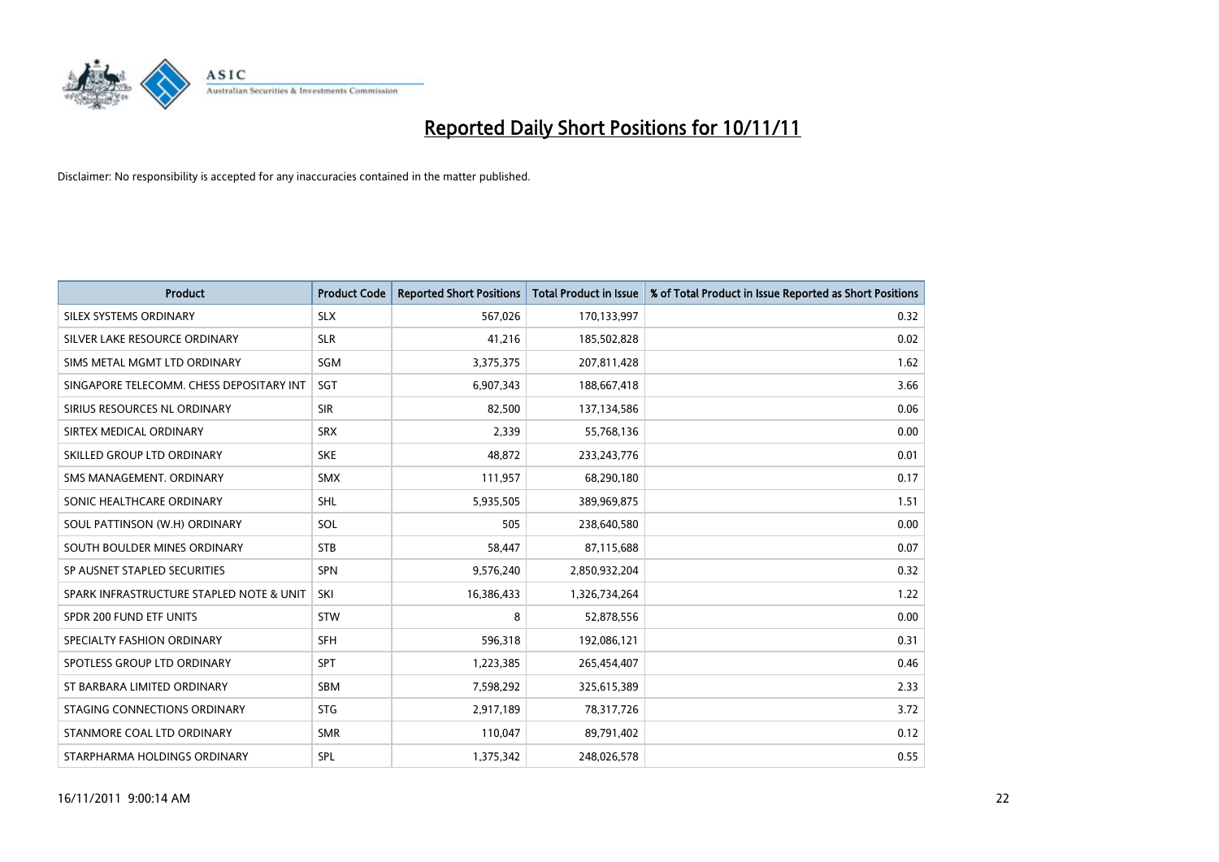

| <b>Product</b>                           | <b>Product Code</b> | <b>Reported Short Positions</b> | <b>Total Product in Issue</b> | % of Total Product in Issue Reported as Short Positions |
|------------------------------------------|---------------------|---------------------------------|-------------------------------|---------------------------------------------------------|
| SILEX SYSTEMS ORDINARY                   | <b>SLX</b>          | 567,026                         | 170,133,997                   | 0.32                                                    |
| SILVER LAKE RESOURCE ORDINARY            | <b>SLR</b>          | 41,216                          | 185,502,828                   | 0.02                                                    |
| SIMS METAL MGMT LTD ORDINARY             | SGM                 | 3,375,375                       | 207,811,428                   | 1.62                                                    |
| SINGAPORE TELECOMM. CHESS DEPOSITARY INT | <b>SGT</b>          | 6,907,343                       | 188,667,418                   | 3.66                                                    |
| SIRIUS RESOURCES NL ORDINARY             | <b>SIR</b>          | 82,500                          | 137,134,586                   | 0.06                                                    |
| SIRTEX MEDICAL ORDINARY                  | <b>SRX</b>          | 2,339                           | 55,768,136                    | 0.00                                                    |
| SKILLED GROUP LTD ORDINARY               | <b>SKE</b>          | 48,872                          | 233, 243, 776                 | 0.01                                                    |
| SMS MANAGEMENT, ORDINARY                 | <b>SMX</b>          | 111,957                         | 68,290,180                    | 0.17                                                    |
| SONIC HEALTHCARE ORDINARY                | <b>SHL</b>          | 5,935,505                       | 389,969,875                   | 1.51                                                    |
| SOUL PATTINSON (W.H) ORDINARY            | SOL                 | 505                             | 238,640,580                   | 0.00                                                    |
| SOUTH BOULDER MINES ORDINARY             | <b>STB</b>          | 58,447                          | 87,115,688                    | 0.07                                                    |
| SP AUSNET STAPLED SECURITIES             | <b>SPN</b>          | 9,576,240                       | 2,850,932,204                 | 0.32                                                    |
| SPARK INFRASTRUCTURE STAPLED NOTE & UNIT | SKI                 | 16,386,433                      | 1,326,734,264                 | 1.22                                                    |
| SPDR 200 FUND ETF UNITS                  | <b>STW</b>          | 8                               | 52,878,556                    | 0.00                                                    |
| SPECIALTY FASHION ORDINARY               | <b>SFH</b>          | 596,318                         | 192,086,121                   | 0.31                                                    |
| SPOTLESS GROUP LTD ORDINARY              | <b>SPT</b>          | 1,223,385                       | 265,454,407                   | 0.46                                                    |
| ST BARBARA LIMITED ORDINARY              | <b>SBM</b>          | 7,598,292                       | 325,615,389                   | 2.33                                                    |
| STAGING CONNECTIONS ORDINARY             | <b>STG</b>          | 2,917,189                       | 78,317,726                    | 3.72                                                    |
| STANMORE COAL LTD ORDINARY               | <b>SMR</b>          | 110,047                         | 89,791,402                    | 0.12                                                    |
| STARPHARMA HOLDINGS ORDINARY             | SPL                 | 1,375,342                       | 248,026,578                   | 0.55                                                    |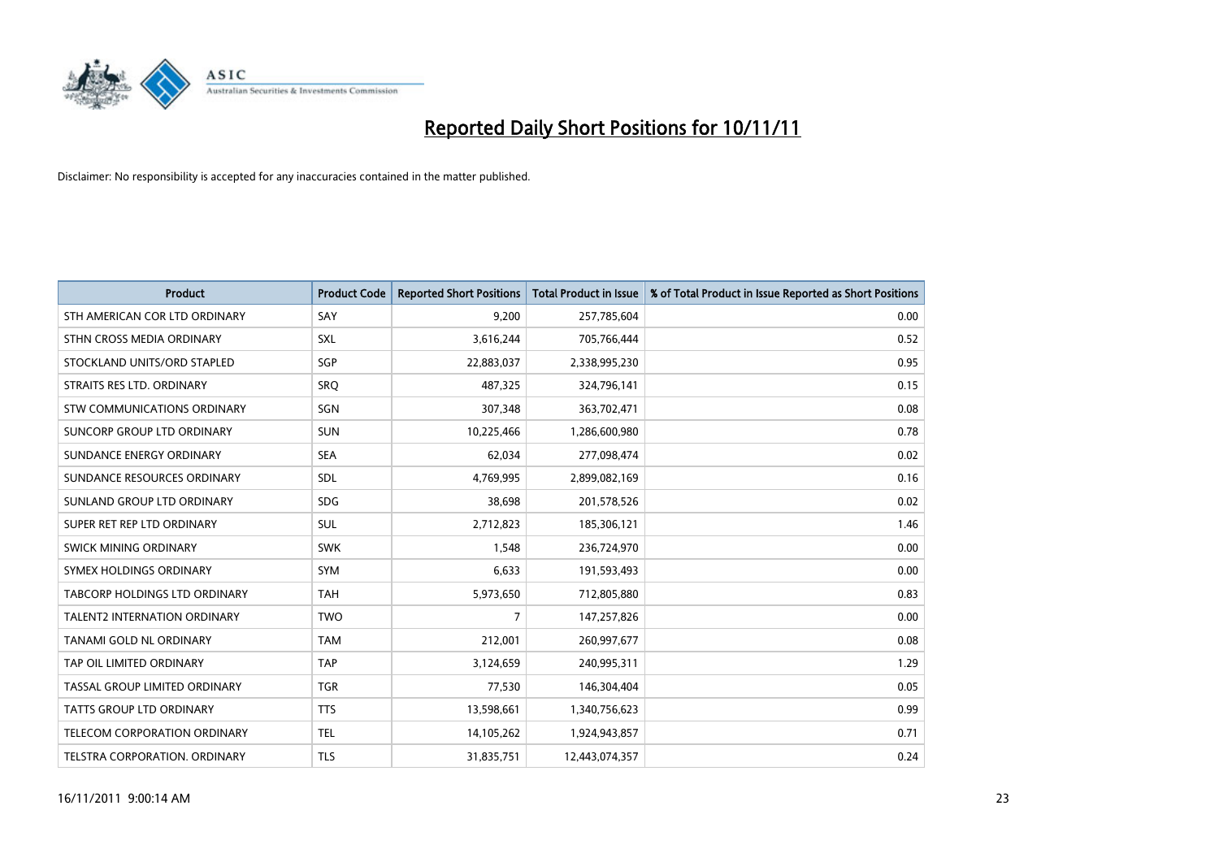

| <b>Product</b>                       | <b>Product Code</b> | <b>Reported Short Positions</b> | <b>Total Product in Issue</b> | % of Total Product in Issue Reported as Short Positions |
|--------------------------------------|---------------------|---------------------------------|-------------------------------|---------------------------------------------------------|
| STH AMERICAN COR LTD ORDINARY        | SAY                 | 9,200                           | 257,785,604                   | 0.00                                                    |
| STHN CROSS MEDIA ORDINARY            | <b>SXL</b>          | 3,616,244                       | 705,766,444                   | 0.52                                                    |
| STOCKLAND UNITS/ORD STAPLED          | SGP                 | 22,883,037                      | 2,338,995,230                 | 0.95                                                    |
| STRAITS RES LTD. ORDINARY            | SRO                 | 487,325                         | 324,796,141                   | 0.15                                                    |
| STW COMMUNICATIONS ORDINARY          | SGN                 | 307,348                         | 363,702,471                   | 0.08                                                    |
| SUNCORP GROUP LTD ORDINARY           | <b>SUN</b>          | 10,225,466                      | 1,286,600,980                 | 0.78                                                    |
| SUNDANCE ENERGY ORDINARY             | <b>SEA</b>          | 62,034                          | 277,098,474                   | 0.02                                                    |
| SUNDANCE RESOURCES ORDINARY          | <b>SDL</b>          | 4,769,995                       | 2,899,082,169                 | 0.16                                                    |
| SUNLAND GROUP LTD ORDINARY           | <b>SDG</b>          | 38,698                          | 201,578,526                   | 0.02                                                    |
| SUPER RET REP LTD ORDINARY           | <b>SUL</b>          | 2,712,823                       | 185,306,121                   | 1.46                                                    |
| SWICK MINING ORDINARY                | <b>SWK</b>          | 1,548                           | 236,724,970                   | 0.00                                                    |
| SYMEX HOLDINGS ORDINARY              | <b>SYM</b>          | 6,633                           | 191,593,493                   | 0.00                                                    |
| <b>TABCORP HOLDINGS LTD ORDINARY</b> | <b>TAH</b>          | 5,973,650                       | 712,805,880                   | 0.83                                                    |
| <b>TALENT2 INTERNATION ORDINARY</b>  | <b>TWO</b>          | 7                               | 147,257,826                   | 0.00                                                    |
| TANAMI GOLD NL ORDINARY              | <b>TAM</b>          | 212,001                         | 260,997,677                   | 0.08                                                    |
| TAP OIL LIMITED ORDINARY             | <b>TAP</b>          | 3,124,659                       | 240,995,311                   | 1.29                                                    |
| TASSAL GROUP LIMITED ORDINARY        | <b>TGR</b>          | 77,530                          | 146,304,404                   | 0.05                                                    |
| TATTS GROUP LTD ORDINARY             | <b>TTS</b>          | 13,598,661                      | 1,340,756,623                 | 0.99                                                    |
| TELECOM CORPORATION ORDINARY         | <b>TEL</b>          | 14,105,262                      | 1,924,943,857                 | 0.71                                                    |
| TELSTRA CORPORATION, ORDINARY        | <b>TLS</b>          | 31,835,751                      | 12,443,074,357                | 0.24                                                    |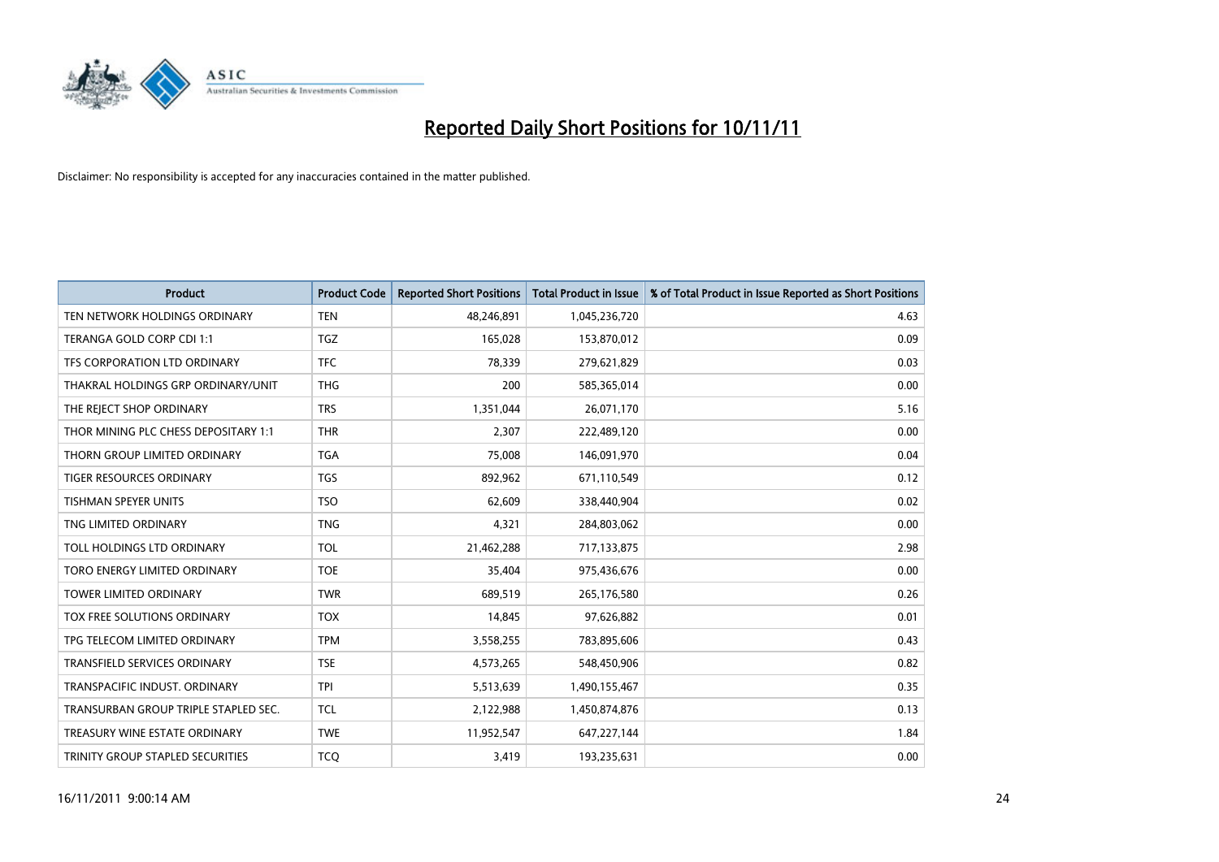

| <b>Product</b>                       | <b>Product Code</b> | <b>Reported Short Positions</b> | <b>Total Product in Issue</b> | % of Total Product in Issue Reported as Short Positions |
|--------------------------------------|---------------------|---------------------------------|-------------------------------|---------------------------------------------------------|
| TEN NETWORK HOLDINGS ORDINARY        | <b>TEN</b>          | 48,246,891                      | 1,045,236,720                 | 4.63                                                    |
| TERANGA GOLD CORP CDI 1:1            | <b>TGZ</b>          | 165,028                         | 153,870,012                   | 0.09                                                    |
| TFS CORPORATION LTD ORDINARY         | <b>TFC</b>          | 78,339                          | 279,621,829                   | 0.03                                                    |
| THAKRAL HOLDINGS GRP ORDINARY/UNIT   | <b>THG</b>          | 200                             | 585,365,014                   | 0.00                                                    |
| THE REJECT SHOP ORDINARY             | <b>TRS</b>          | 1,351,044                       | 26,071,170                    | 5.16                                                    |
| THOR MINING PLC CHESS DEPOSITARY 1:1 | <b>THR</b>          | 2,307                           | 222,489,120                   | 0.00                                                    |
| THORN GROUP LIMITED ORDINARY         | <b>TGA</b>          | 75,008                          | 146,091,970                   | 0.04                                                    |
| TIGER RESOURCES ORDINARY             | <b>TGS</b>          | 892,962                         | 671,110,549                   | 0.12                                                    |
| TISHMAN SPEYER UNITS                 | <b>TSO</b>          | 62,609                          | 338,440,904                   | 0.02                                                    |
| TNG LIMITED ORDINARY                 | <b>TNG</b>          | 4,321                           | 284,803,062                   | 0.00                                                    |
| TOLL HOLDINGS LTD ORDINARY           | <b>TOL</b>          | 21,462,288                      | 717,133,875                   | 2.98                                                    |
| TORO ENERGY LIMITED ORDINARY         | <b>TOE</b>          | 35,404                          | 975,436,676                   | 0.00                                                    |
| <b>TOWER LIMITED ORDINARY</b>        | <b>TWR</b>          | 689,519                         | 265,176,580                   | 0.26                                                    |
| TOX FREE SOLUTIONS ORDINARY          | <b>TOX</b>          | 14,845                          | 97,626,882                    | 0.01                                                    |
| TPG TELECOM LIMITED ORDINARY         | <b>TPM</b>          | 3,558,255                       | 783,895,606                   | 0.43                                                    |
| <b>TRANSFIELD SERVICES ORDINARY</b>  | <b>TSE</b>          | 4,573,265                       | 548,450,906                   | 0.82                                                    |
| TRANSPACIFIC INDUST, ORDINARY        | <b>TPI</b>          | 5,513,639                       | 1,490,155,467                 | 0.35                                                    |
| TRANSURBAN GROUP TRIPLE STAPLED SEC. | <b>TCL</b>          | 2,122,988                       | 1,450,874,876                 | 0.13                                                    |
| TREASURY WINE ESTATE ORDINARY        | <b>TWE</b>          | 11,952,547                      | 647,227,144                   | 1.84                                                    |
| TRINITY GROUP STAPLED SECURITIES     | <b>TCO</b>          | 3,419                           | 193,235,631                   | 0.00                                                    |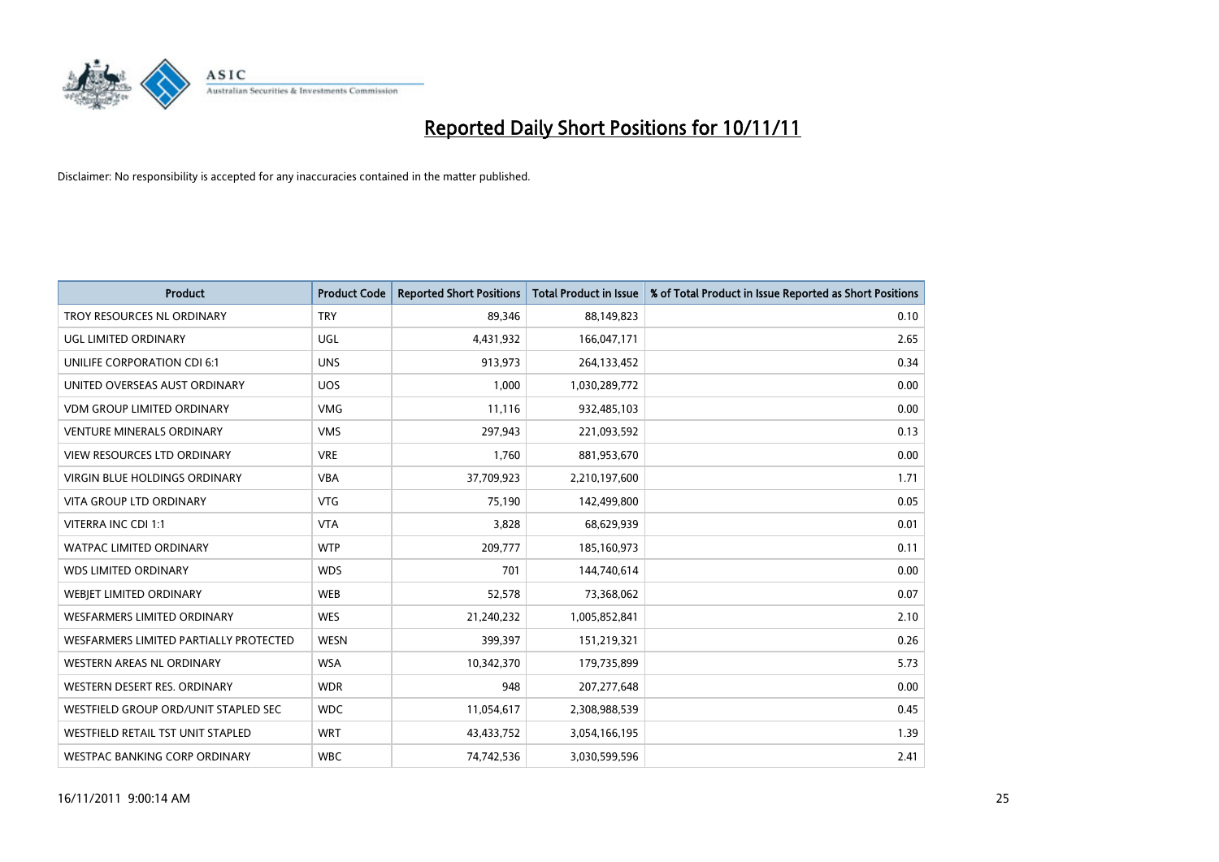

| <b>Product</b>                         | <b>Product Code</b> | <b>Reported Short Positions</b> | <b>Total Product in Issue</b> | % of Total Product in Issue Reported as Short Positions |
|----------------------------------------|---------------------|---------------------------------|-------------------------------|---------------------------------------------------------|
| TROY RESOURCES NL ORDINARY             | <b>TRY</b>          | 89,346                          | 88,149,823                    | 0.10                                                    |
| UGL LIMITED ORDINARY                   | <b>UGL</b>          | 4,431,932                       | 166,047,171                   | 2.65                                                    |
| UNILIFE CORPORATION CDI 6:1            | <b>UNS</b>          | 913,973                         | 264,133,452                   | 0.34                                                    |
| UNITED OVERSEAS AUST ORDINARY          | <b>UOS</b>          | 1.000                           | 1,030,289,772                 | 0.00                                                    |
| <b>VDM GROUP LIMITED ORDINARY</b>      | <b>VMG</b>          | 11,116                          | 932,485,103                   | 0.00                                                    |
| <b>VENTURE MINERALS ORDINARY</b>       | <b>VMS</b>          | 297,943                         | 221,093,592                   | 0.13                                                    |
| VIEW RESOURCES LTD ORDINARY            | <b>VRE</b>          | 1,760                           | 881,953,670                   | 0.00                                                    |
| VIRGIN BLUE HOLDINGS ORDINARY          | <b>VBA</b>          | 37,709,923                      | 2,210,197,600                 | 1.71                                                    |
| <b>VITA GROUP LTD ORDINARY</b>         | <b>VTG</b>          | 75,190                          | 142,499,800                   | 0.05                                                    |
| VITERRA INC CDI 1:1                    | <b>VTA</b>          | 3,828                           | 68,629,939                    | 0.01                                                    |
| <b>WATPAC LIMITED ORDINARY</b>         | <b>WTP</b>          | 209,777                         | 185,160,973                   | 0.11                                                    |
| <b>WDS LIMITED ORDINARY</b>            | <b>WDS</b>          | 701                             | 144,740,614                   | 0.00                                                    |
| WEBIET LIMITED ORDINARY                | <b>WEB</b>          | 52,578                          | 73,368,062                    | 0.07                                                    |
| <b>WESFARMERS LIMITED ORDINARY</b>     | <b>WES</b>          | 21,240,232                      | 1,005,852,841                 | 2.10                                                    |
| WESFARMERS LIMITED PARTIALLY PROTECTED | <b>WESN</b>         | 399,397                         | 151,219,321                   | 0.26                                                    |
| <b>WESTERN AREAS NL ORDINARY</b>       | <b>WSA</b>          | 10,342,370                      | 179,735,899                   | 5.73                                                    |
| WESTERN DESERT RES. ORDINARY           | <b>WDR</b>          | 948                             | 207, 277, 648                 | 0.00                                                    |
| WESTFIELD GROUP ORD/UNIT STAPLED SEC   | <b>WDC</b>          | 11,054,617                      | 2,308,988,539                 | 0.45                                                    |
| WESTFIELD RETAIL TST UNIT STAPLED      | <b>WRT</b>          | 43,433,752                      | 3,054,166,195                 | 1.39                                                    |
| WESTPAC BANKING CORP ORDINARY          | <b>WBC</b>          | 74,742,536                      | 3,030,599,596                 | 2.41                                                    |